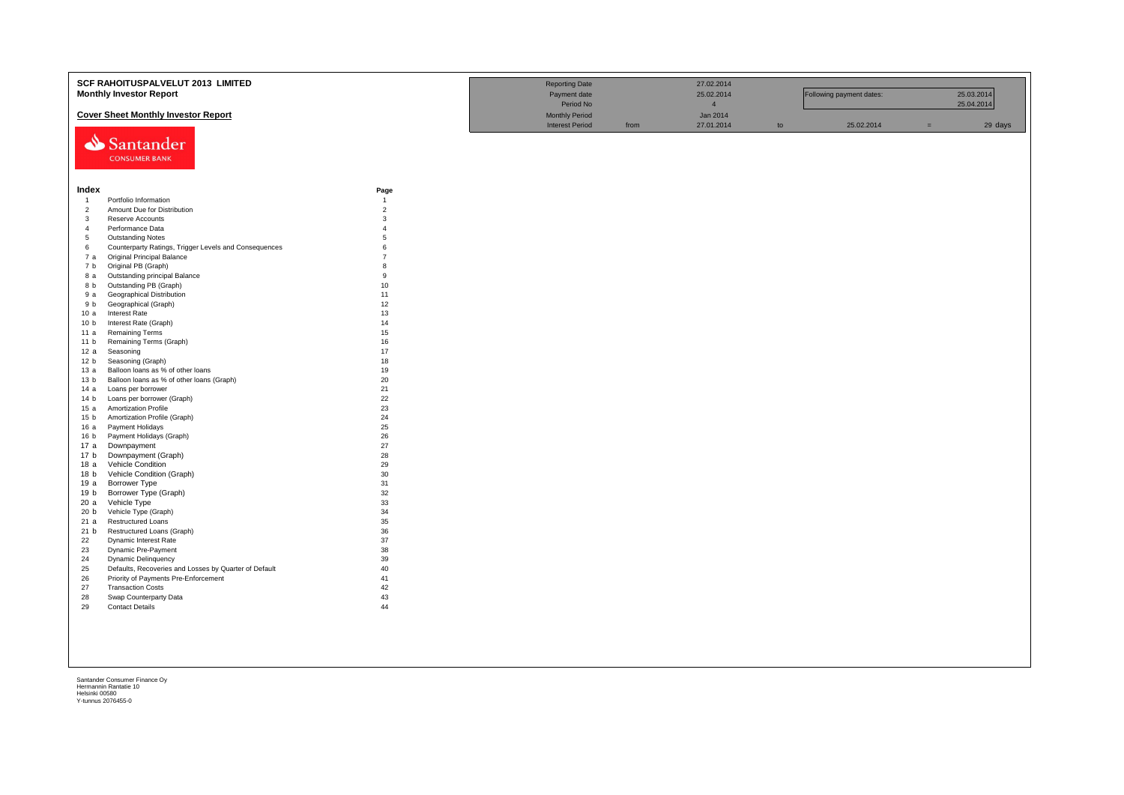|                 | SCF RAHOITUSPALVELUT 2013 LIMITED                     |                        | <b>Reporting Date</b>  |      | 27.02.2014     |    |                          |     |            |
|-----------------|-------------------------------------------------------|------------------------|------------------------|------|----------------|----|--------------------------|-----|------------|
|                 | <b>Monthly Investor Report</b>                        |                        | Payment date           |      | 25.02.2014     |    | Following payment dates: |     | 25.03.2014 |
|                 |                                                       |                        | Period No              |      | $\overline{4}$ |    |                          |     | 25.04.2014 |
|                 | <b>Cover Sheet Monthly Investor Report</b>            |                        | <b>Monthly Period</b>  |      | Jan 2014       |    |                          |     |            |
|                 |                                                       |                        | <b>Interest Period</b> | from | 27.01.2014     | to | 25.02.2014               | $=$ | 29 days    |
|                 |                                                       |                        |                        |      |                |    |                          |     |            |
|                 | Santander                                             |                        |                        |      |                |    |                          |     |            |
|                 | <b>CONSUMER BANK</b>                                  |                        |                        |      |                |    |                          |     |            |
|                 |                                                       |                        |                        |      |                |    |                          |     |            |
|                 |                                                       |                        |                        |      |                |    |                          |     |            |
| Index           |                                                       |                        |                        |      |                |    |                          |     |            |
| $\overline{1}$  | Portfolio Information                                 | Page<br>$\overline{1}$ |                        |      |                |    |                          |     |            |
| $\overline{2}$  | Amount Due for Distribution                           | $\overline{2}$         |                        |      |                |    |                          |     |            |
| $\mathbf{3}$    | Reserve Accounts                                      | 3                      |                        |      |                |    |                          |     |            |
| $\overline{4}$  | Performance Data                                      | $\overline{4}$         |                        |      |                |    |                          |     |            |
| 5               | <b>Outstanding Notes</b>                              | 5                      |                        |      |                |    |                          |     |            |
| 6               | Counterparty Ratings, Trigger Levels and Consequences | 6                      |                        |      |                |    |                          |     |            |
| 7 a             | <b>Original Principal Balance</b>                     | $\overline{7}$         |                        |      |                |    |                          |     |            |
| 7 b             | Original PB (Graph)                                   | 8                      |                        |      |                |    |                          |     |            |
| 8 a             | Outstanding principal Balance                         | 9                      |                        |      |                |    |                          |     |            |
| 8 b             | Outstanding PB (Graph)                                | 10                     |                        |      |                |    |                          |     |            |
| 9 a             | Geographical Distribution                             | 11                     |                        |      |                |    |                          |     |            |
| 9 b             | Geographical (Graph)                                  | 12                     |                        |      |                |    |                          |     |            |
| 10a             | <b>Interest Rate</b>                                  | 13                     |                        |      |                |    |                          |     |            |
| 10 <sub>b</sub> | Interest Rate (Graph)                                 | 14                     |                        |      |                |    |                          |     |            |
| 11 a            | <b>Remaining Terms</b>                                | 15                     |                        |      |                |    |                          |     |            |
| 11 <sub>b</sub> | Remaining Terms (Graph)                               | 16                     |                        |      |                |    |                          |     |            |
| 12a             | Seasoning                                             | 17                     |                        |      |                |    |                          |     |            |
| 12 <sub>b</sub> | Seasoning (Graph)                                     | 18                     |                        |      |                |    |                          |     |            |
| 13 а            | Balloon loans as % of other loans                     | 19                     |                        |      |                |    |                          |     |            |
| 13 <sub>b</sub> | Balloon loans as % of other loans (Graph)             | 20                     |                        |      |                |    |                          |     |            |
| 14 a            | Loans per borrower                                    | 21                     |                        |      |                |    |                          |     |            |
| 14 <sub>b</sub> | Loans per borrower (Graph)                            | 22                     |                        |      |                |    |                          |     |            |
| 15a             | Amortization Profile                                  | 23                     |                        |      |                |    |                          |     |            |
| 15 b            | Amortization Profile (Graph)                          | 24<br>25               |                        |      |                |    |                          |     |            |
| 16 a<br>16 b    | Payment Holidays                                      | 26                     |                        |      |                |    |                          |     |            |
| 17 a            | Payment Holidays (Graph)<br>Downpayment               | 27                     |                        |      |                |    |                          |     |            |
| 17 <sub>b</sub> | Downpayment (Graph)                                   | 28                     |                        |      |                |    |                          |     |            |
| 18 a            | Vehicle Condition                                     | 29                     |                        |      |                |    |                          |     |            |
| 18 <sub>b</sub> | Vehicle Condition (Graph)                             | 30                     |                        |      |                |    |                          |     |            |
| 19 a            | Borrower Type                                         | 31                     |                        |      |                |    |                          |     |            |
| 19 b            | Borrower Type (Graph)                                 | 32                     |                        |      |                |    |                          |     |            |
| 20 a            | Vehicle Type                                          | 33                     |                        |      |                |    |                          |     |            |
| 20 <sub>b</sub> | Vehicle Type (Graph)                                  | 34                     |                        |      |                |    |                          |     |            |
| 21 a            | <b>Restructured Loans</b>                             | 35                     |                        |      |                |    |                          |     |            |
| 21 b            | Restructured Loans (Graph)                            | 36                     |                        |      |                |    |                          |     |            |
| 22              | Dynamic Interest Rate                                 | 37                     |                        |      |                |    |                          |     |            |
| 23              | Dynamic Pre-Payment                                   | 38                     |                        |      |                |    |                          |     |            |
| 24              | Dynamic Delinquency                                   | 39                     |                        |      |                |    |                          |     |            |
| 25              | Defaults, Recoveries and Losses by Quarter of Default | 40                     |                        |      |                |    |                          |     |            |
| 26              | Priority of Payments Pre-Enforcement                  | 41                     |                        |      |                |    |                          |     |            |
| 27              | <b>Transaction Costs</b>                              | 42                     |                        |      |                |    |                          |     |            |
| 28              | Swap Counterparty Data                                | 43                     |                        |      |                |    |                          |     |            |
| 29              | <b>Contact Details</b>                                | 44                     |                        |      |                |    |                          |     |            |
|                 |                                                       |                        |                        |      |                |    |                          |     |            |
|                 |                                                       |                        |                        |      |                |    |                          |     |            |
|                 |                                                       |                        |                        |      |                |    |                          |     |            |
|                 |                                                       |                        |                        |      |                |    |                          |     |            |
|                 |                                                       |                        |                        |      |                |    |                          |     |            |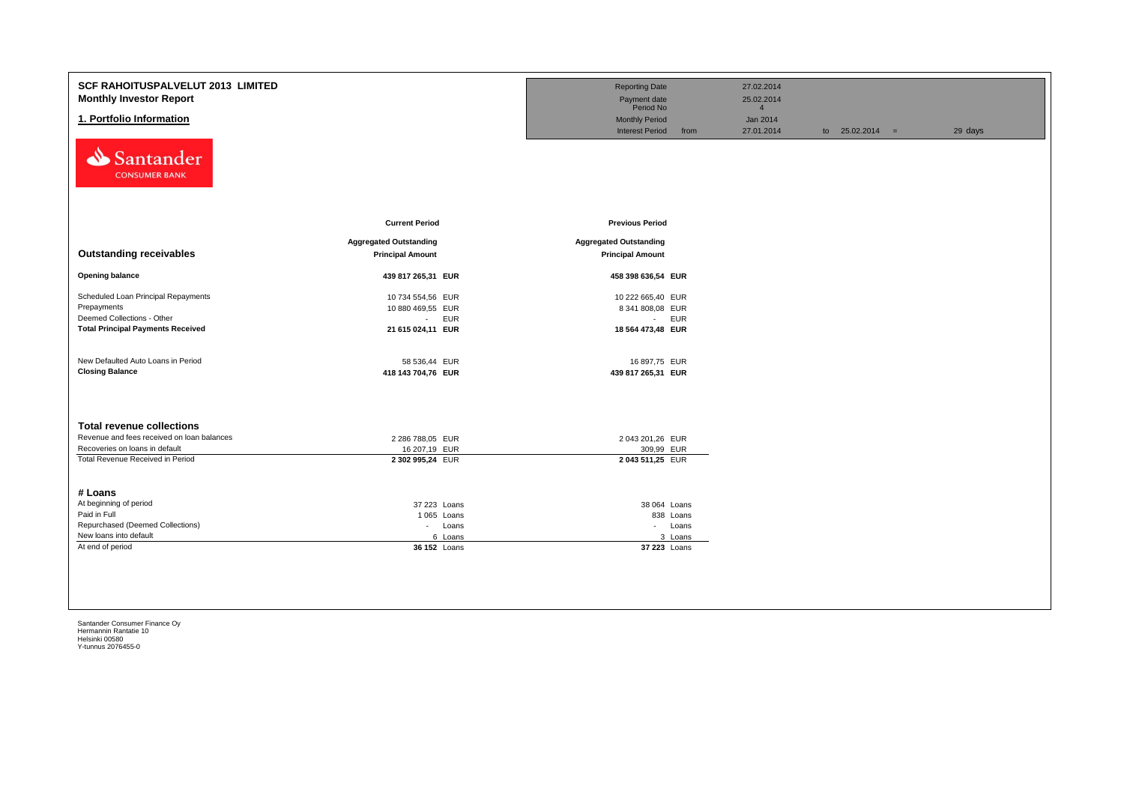| <b>SCF RAHOITUSPALVELUT 2013 LIMITED</b><br><b>Monthly Investor Report</b><br>1. Portfolio Information<br>Santander<br><b>CONSUMER BANK</b>          |                                                                                   | <b>Reporting Date</b><br>Payment date<br>Period No<br><b>Monthly Period</b><br><b>Interest Period</b><br>from | 27.02.2014<br>25.02.2014<br>$\overline{4}$<br>Jan 2014<br>27.01.2014 | to $25.02.2014 =$ | 29 days |
|------------------------------------------------------------------------------------------------------------------------------------------------------|-----------------------------------------------------------------------------------|---------------------------------------------------------------------------------------------------------------|----------------------------------------------------------------------|-------------------|---------|
| <b>Outstanding receivables</b>                                                                                                                       | <b>Current Period</b><br><b>Aggregated Outstanding</b><br><b>Principal Amount</b> | <b>Previous Period</b><br><b>Aggregated Outstanding</b><br><b>Principal Amount</b>                            |                                                                      |                   |         |
| <b>Opening balance</b>                                                                                                                               | 439 817 265,31 EUR                                                                | 458 398 636,54 EUR                                                                                            |                                                                      |                   |         |
| Scheduled Loan Principal Repayments<br>Prepayments<br>Deemed Collections - Other<br><b>Total Principal Payments Received</b>                         | 10 734 554,56 EUR<br>10 880 469,55 EUR<br>- EUR<br>21 615 024,11 EUR              | 10 222 665,40 EUR<br>8 341 808,08 EUR<br>- EUR<br>18 564 473,48 EUR                                           |                                                                      |                   |         |
| New Defaulted Auto Loans in Period<br><b>Closing Balance</b>                                                                                         | 58 536,44 EUR<br>418 143 704,76 EUR                                               | 16 897,75 EUR<br>439 817 265,31 EUR                                                                           |                                                                      |                   |         |
| <b>Total revenue collections</b><br>Revenue and fees received on loan balances<br>Recoveries on loans in default<br>Total Revenue Received in Period | 2 286 788,05 EUR<br>16 207,19 EUR<br>2 302 995,24 EUR                             | 2 043 201,26 EUR<br>309,99 EUR<br>2043 511,25 EUR                                                             |                                                                      |                   |         |
| # Loans<br>At beginning of period<br>Paid in Full<br>Repurchased (Deemed Collections)<br>New loans into default<br>At end of period                  | 37 223 Loans<br>1 065 Loans<br>- Loans<br>6 Loans<br>36 152 Loans                 | 38 064 Loans<br>838 Loans<br>- Loans<br>3 Loans<br>37 223 Loans                                               |                                                                      |                   |         |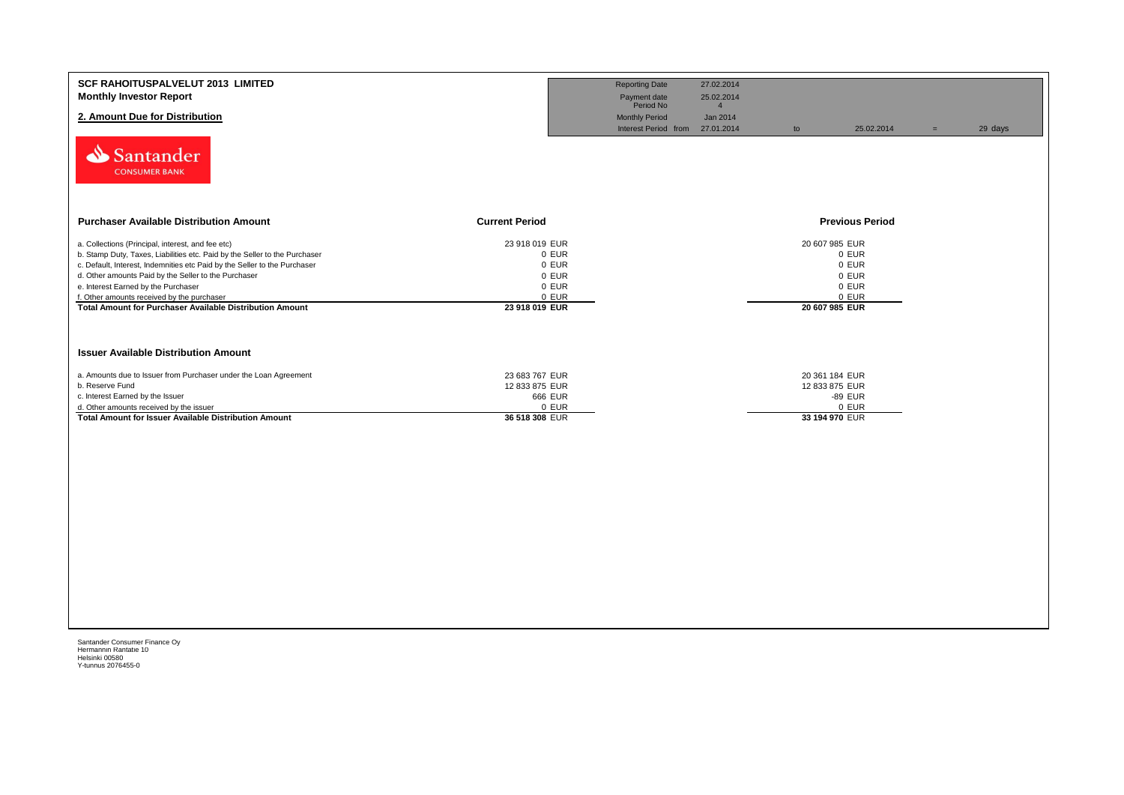| <b>SCF RAHOITUSPALVELUT 2013 LIMITED</b><br><b>Monthly Investor Report</b><br>2. Amount Due for Distribution<br>Santander<br><b>CONSUMER BANK</b>                                                                                                                                                                                                                                                                     |                                                                               | <b>Reporting Date</b><br>Payment date<br>Period No<br><b>Monthly Period</b><br>Interest Period from 27.01.2014 | 27.02.2014<br>25.02.2014<br>$\overline{4}$<br>Jan 2014 | to                                                 | 25.02.2014                                | $=$ | 29 days |
|-----------------------------------------------------------------------------------------------------------------------------------------------------------------------------------------------------------------------------------------------------------------------------------------------------------------------------------------------------------------------------------------------------------------------|-------------------------------------------------------------------------------|----------------------------------------------------------------------------------------------------------------|--------------------------------------------------------|----------------------------------------------------|-------------------------------------------|-----|---------|
| <b>Purchaser Available Distribution Amount</b>                                                                                                                                                                                                                                                                                                                                                                        | <b>Current Period</b>                                                         |                                                                                                                |                                                        |                                                    | <b>Previous Period</b>                    |     |         |
| a. Collections (Principal, interest, and fee etc)<br>b. Stamp Duty, Taxes, Liabilities etc. Paid by the Seller to the Purchaser<br>c. Default, Interest, Indemnities etc Paid by the Seller to the Purchaser<br>d. Other amounts Paid by the Seller to the Purchaser<br>e. Interest Earned by the Purchaser<br>f. Other amounts received by the purchaser<br>Total Amount for Purchaser Available Distribution Amount | 23 918 019 EUR<br>0 EUR<br>0 EUR<br>0 EUR<br>0 EUR<br>0 EUR<br>23 918 019 EUR |                                                                                                                |                                                        | 20 607 985 EUR<br>20 607 985 EUR                   | 0 EUR<br>0 EUR<br>0 EUR<br>0 EUR<br>0 EUR |     |         |
| <b>Issuer Available Distribution Amount</b>                                                                                                                                                                                                                                                                                                                                                                           |                                                                               |                                                                                                                |                                                        |                                                    |                                           |     |         |
| a. Amounts due to Issuer from Purchaser under the Loan Agreement<br>b. Reserve Fund<br>c. Interest Earned by the Issuer<br>d. Other amounts received by the issuer<br><b>Total Amount for Issuer Available Distribution Amount</b>                                                                                                                                                                                    | 23 683 767 EUR<br>12 833 875 EUR<br>666 EUR<br>0 EUR<br>36 518 308 EUR        |                                                                                                                |                                                        | 20 361 184 EUR<br>12 833 875 EUR<br>33 194 970 EUR | -89 EUR<br>0 EUR                          |     |         |
|                                                                                                                                                                                                                                                                                                                                                                                                                       |                                                                               |                                                                                                                |                                                        |                                                    |                                           |     |         |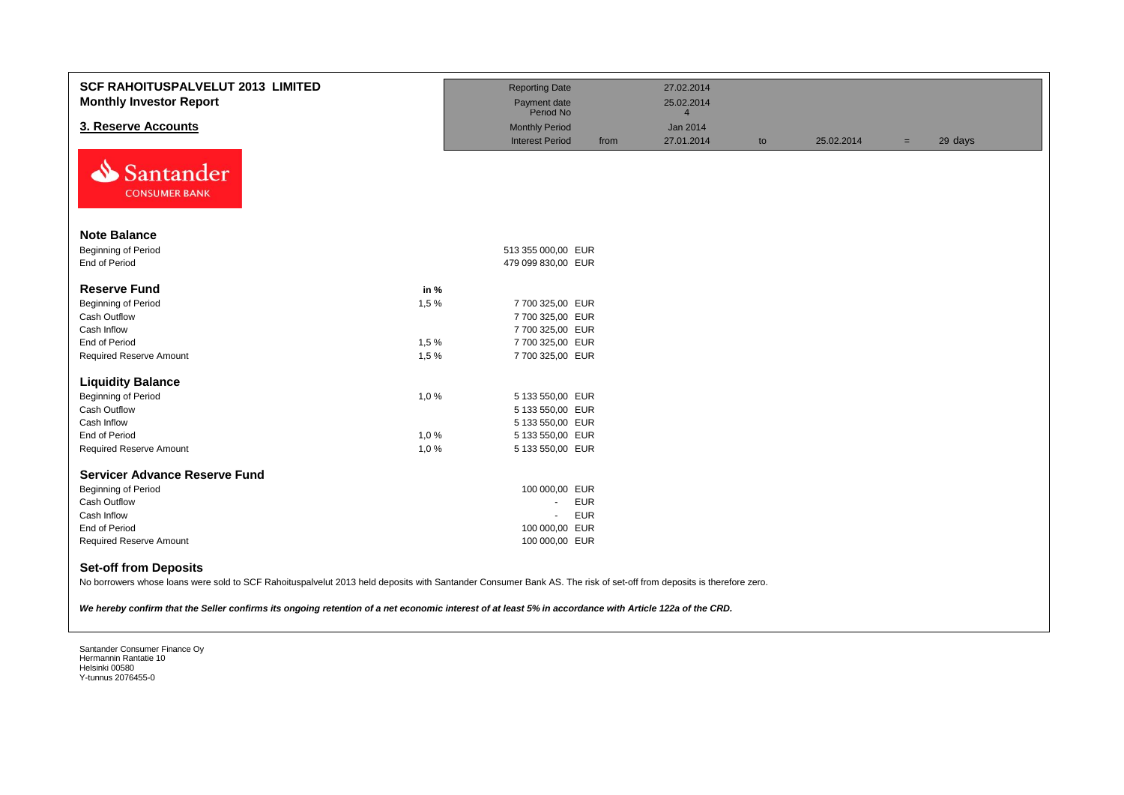| <b>SCF RAHOITUSPALVELUT 2013 LIMITED</b><br><b>Monthly Investor Report</b>                                                                                                                                                                                                                                                                                    |      | <b>Reporting Date</b><br>Payment date<br>Period No |            | 27.02.2014<br>25.02.2014<br>$\overline{4}$ |    |            |     |         |
|---------------------------------------------------------------------------------------------------------------------------------------------------------------------------------------------------------------------------------------------------------------------------------------------------------------------------------------------------------------|------|----------------------------------------------------|------------|--------------------------------------------|----|------------|-----|---------|
| 3. Reserve Accounts                                                                                                                                                                                                                                                                                                                                           |      | <b>Monthly Period</b>                              |            | Jan 2014                                   |    |            |     |         |
|                                                                                                                                                                                                                                                                                                                                                               |      | <b>Interest Period</b>                             | from       | 27.01.2014                                 | to | 25.02.2014 | $=$ | 29 days |
| Santander<br><b>CONSUMER BANK</b>                                                                                                                                                                                                                                                                                                                             |      |                                                    |            |                                            |    |            |     |         |
| <b>Note Balance</b>                                                                                                                                                                                                                                                                                                                                           |      |                                                    |            |                                            |    |            |     |         |
| Beginning of Period                                                                                                                                                                                                                                                                                                                                           |      | 513 355 000,00 EUR                                 |            |                                            |    |            |     |         |
| End of Period                                                                                                                                                                                                                                                                                                                                                 |      | 479 099 830,00 EUR                                 |            |                                            |    |            |     |         |
| <b>Reserve Fund</b>                                                                                                                                                                                                                                                                                                                                           | in % |                                                    |            |                                            |    |            |     |         |
| Beginning of Period                                                                                                                                                                                                                                                                                                                                           | 1,5% | 7 700 325,00 EUR                                   |            |                                            |    |            |     |         |
| Cash Outflow                                                                                                                                                                                                                                                                                                                                                  |      | 7 700 325,00 EUR                                   |            |                                            |    |            |     |         |
| Cash Inflow                                                                                                                                                                                                                                                                                                                                                   |      | 7 700 325,00 EUR                                   |            |                                            |    |            |     |         |
| <b>End of Period</b>                                                                                                                                                                                                                                                                                                                                          | 1,5% | 7 700 325,00 EUR                                   |            |                                            |    |            |     |         |
| <b>Required Reserve Amount</b>                                                                                                                                                                                                                                                                                                                                | 1,5% | 7 700 325,00 EUR                                   |            |                                            |    |            |     |         |
| <b>Liquidity Balance</b>                                                                                                                                                                                                                                                                                                                                      |      |                                                    |            |                                            |    |            |     |         |
| Beginning of Period                                                                                                                                                                                                                                                                                                                                           | 1,0% | 5 133 550,00 EUR                                   |            |                                            |    |            |     |         |
| Cash Outflow                                                                                                                                                                                                                                                                                                                                                  |      | 5 133 550,00 EUR                                   |            |                                            |    |            |     |         |
| Cash Inflow                                                                                                                                                                                                                                                                                                                                                   |      | 5 133 550,00 EUR                                   |            |                                            |    |            |     |         |
| End of Period                                                                                                                                                                                                                                                                                                                                                 | 1,0% | 5 133 550,00 EUR                                   |            |                                            |    |            |     |         |
| <b>Required Reserve Amount</b>                                                                                                                                                                                                                                                                                                                                | 1,0% | 5 133 550,00 EUR                                   |            |                                            |    |            |     |         |
| <b>Servicer Advance Reserve Fund</b>                                                                                                                                                                                                                                                                                                                          |      |                                                    |            |                                            |    |            |     |         |
| Beginning of Period                                                                                                                                                                                                                                                                                                                                           |      | 100 000,00 EUR                                     |            |                                            |    |            |     |         |
| <b>Cash Outflow</b>                                                                                                                                                                                                                                                                                                                                           |      | $\blacksquare$                                     | <b>EUR</b> |                                            |    |            |     |         |
| Cash Inflow                                                                                                                                                                                                                                                                                                                                                   |      | $\blacksquare$                                     | <b>EUR</b> |                                            |    |            |     |         |
| End of Period                                                                                                                                                                                                                                                                                                                                                 |      | 100 000,00 EUR                                     |            |                                            |    |            |     |         |
| <b>Required Reserve Amount</b>                                                                                                                                                                                                                                                                                                                                |      | 100 000,00 EUR                                     |            |                                            |    |            |     |         |
| <b>Set-off from Deposits</b><br>No borrowers whose loans were sold to SCF Rahoituspalvelut 2013 held deposits with Santander Consumer Bank AS. The risk of set-off from deposits is therefore zero.<br>We hereby confirm that the Seller confirms its ongoing retention of a net economic interest of at least 5% in accordance with Article 122a of the CRD. |      |                                                    |            |                                            |    |            |     |         |
|                                                                                                                                                                                                                                                                                                                                                               |      |                                                    |            |                                            |    |            |     |         |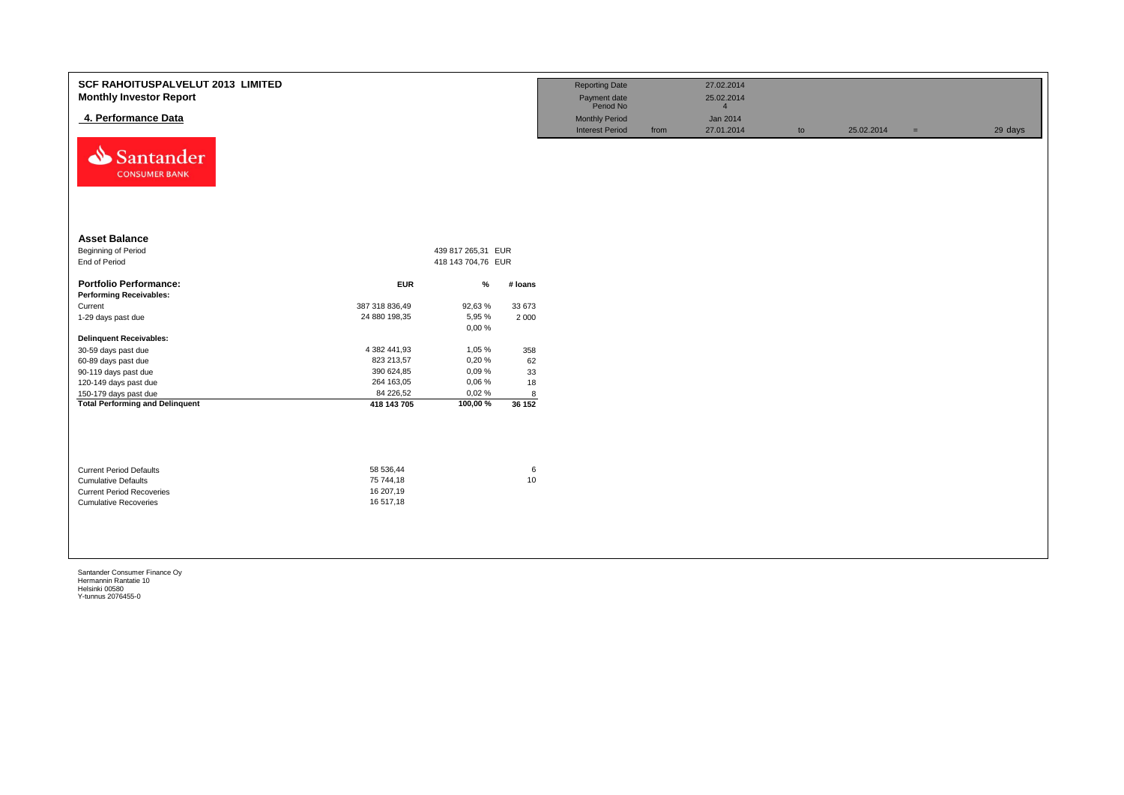| <b>SCF RAHOITUSPALVELUT 2013 LIMITED</b><br><b>Monthly Investor Report</b><br>4. Performance Data |                                     |                    |         | <b>Reporting Date</b><br>Payment date<br>Period No<br><b>Monthly Period</b> |      | 27.02.2014<br>25.02.2014<br>$\Delta$<br>Jan 2014 |    |            |     |         |
|---------------------------------------------------------------------------------------------------|-------------------------------------|--------------------|---------|-----------------------------------------------------------------------------|------|--------------------------------------------------|----|------------|-----|---------|
| ⇘<br>Santander<br><b>CONSUMER BANK</b>                                                            |                                     |                    |         | <b>Interest Period</b>                                                      | from | 27.01.2014                                       | to | 25.02.2014 | $=$ | 29 days |
| <b>Asset Balance</b>                                                                              |                                     |                    |         |                                                                             |      |                                                  |    |            |     |         |
| Beginning of Period                                                                               |                                     | 439 817 265,31 EUR |         |                                                                             |      |                                                  |    |            |     |         |
| End of Period                                                                                     |                                     | 418 143 704,76 EUR |         |                                                                             |      |                                                  |    |            |     |         |
| <b>Portfolio Performance:</b>                                                                     | <b>EUR</b>                          | $\%$               | # Ioans |                                                                             |      |                                                  |    |            |     |         |
| <b>Performing Receivables:</b>                                                                    |                                     |                    |         |                                                                             |      |                                                  |    |            |     |         |
| Current                                                                                           | 387 318 836,49                      | 92,63%             | 33 673  |                                                                             |      |                                                  |    |            |     |         |
| 1-29 days past due                                                                                | 24 880 198,35                       | 5,95 %<br>0,00%    | 2 0 0 0 |                                                                             |      |                                                  |    |            |     |         |
| <b>Delinquent Receivables:</b>                                                                    |                                     |                    |         |                                                                             |      |                                                  |    |            |     |         |
| 30-59 days past due                                                                               | 4 382 441,93                        | 1,05 %             | 358     |                                                                             |      |                                                  |    |            |     |         |
| 60-89 days past due                                                                               | 823 213,57                          | 0,20%              | 62      |                                                                             |      |                                                  |    |            |     |         |
| 90-119 days past due                                                                              | 390 624,85                          | 0,09%              | 33      |                                                                             |      |                                                  |    |            |     |         |
| 120-149 days past due                                                                             | 264 163,05                          | 0,06%              | 18      |                                                                             |      |                                                  |    |            |     |         |
| 150-179 days past due                                                                             | 84 226,52                           | 0,02%              | 8       |                                                                             |      |                                                  |    |            |     |         |
| <b>Total Performing and Delinquent</b>                                                            | 418 143 705                         | 100,00%            | 36 152  |                                                                             |      |                                                  |    |            |     |         |
| <b>Current Period Defaults</b><br><b>Cumulative Defaults</b><br><b>Current Period Recoveries</b>  | 58 536,44<br>75 744,18<br>16 207,19 |                    | 6<br>10 |                                                                             |      |                                                  |    |            |     |         |
| <b>Cumulative Recoveries</b>                                                                      | 16 517,18                           |                    |         |                                                                             |      |                                                  |    |            |     |         |
|                                                                                                   |                                     |                    |         |                                                                             |      |                                                  |    |            |     |         |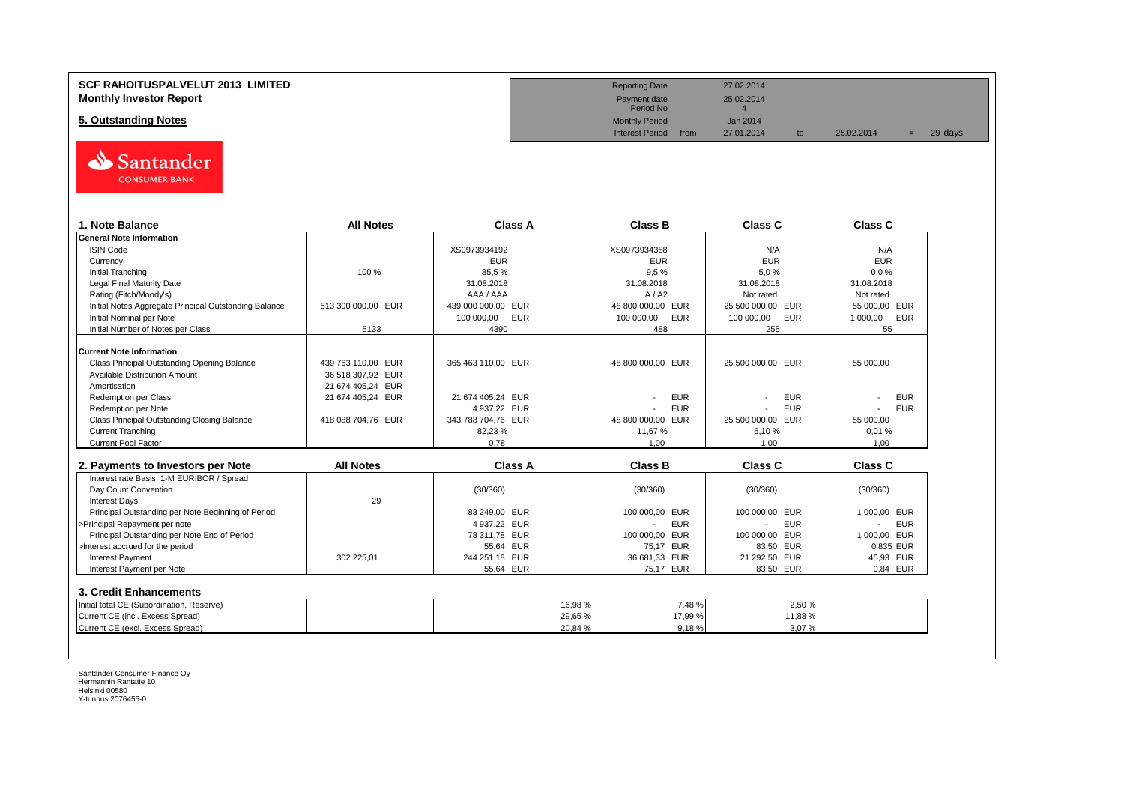#### **SCF RAHOITUSPALVELUT 2013 LIMITED Monthly Investor Report**

**5. Outstanding Notes** 



| 1. Note Balance                                                                                         | <b>All Notes</b>   | Class A            | <b>Class B</b>           | Class C           | <b>Class C</b>  |
|---------------------------------------------------------------------------------------------------------|--------------------|--------------------|--------------------------|-------------------|-----------------|
| <b>General Note Information</b>                                                                         |                    |                    |                          |                   |                 |
| <b>ISIN Code</b>                                                                                        |                    | XS0973934192       | XS0973934358             | N/A               | N/A             |
| Currency                                                                                                |                    | <b>EUR</b>         | <b>EUR</b>               | <b>EUR</b>        | <b>EUR</b>      |
| Initial Tranching                                                                                       | 100 %              | 85.5%              | 9.5%                     | 5.0%              | $0.0 \%$        |
| <b>Legal Final Maturity Date</b>                                                                        |                    | 31.08.2018         | 31.08.2018               | 31.08.2018        | 31.08.2018      |
| Rating (Fitch/Moody's)                                                                                  |                    | AAA / AAA          | A/42                     | Not rated         | Not rated       |
| Initial Notes Aggregate Principal Outstanding Balance                                                   | 513 300 000,00 EUR | 439 000 000,00 EUR | 48 800 000,00 EUR        | 25 500 000,00 EUR | 55 000,00 EUR   |
| Initial Nominal per Note                                                                                |                    | 100 000,00 EUR     | 100 000,00<br><b>EUR</b> | 100 000,00<br>EUR | 1 000,00<br>EUR |
| Initial Number of Notes per Class                                                                       | 5133               | 4390               | 488                      | 255               | 55              |
| <b>Current Note Information</b>                                                                         |                    |                    |                          |                   |                 |
| Class Principal Outstanding Opening Balance                                                             | 439 763 110.00 EUR | 365 463 110.00 EUR | 48 800 000,00 EUR        | 25 500 000,00 EUR | 55 000.00       |
| Available Distribution Amount                                                                           | 36 518 307,92 EUR  |                    |                          |                   |                 |
| Amortisation                                                                                            | 21 674 405.24 EUR  |                    |                          |                   |                 |
| <b>Redemption per Class</b>                                                                             | 21 674 405,24 EUR  | 21 674 405.24 EUR  | <b>EUR</b>               | <b>EUR</b>        | <b>EUR</b>      |
| Redemption per Note                                                                                     |                    | 4 937,22 EUR       | <b>EUR</b>               | <b>EUR</b>        | <b>EUR</b>      |
| Class Principal Outstanding Closing Balance                                                             | 418 088 704.76 EUR | 343 788 704.76 EUR | 48 800 000.00 EUR        | 25 500 000.00 EUR | 55 000.00       |
| <b>Current Tranching</b>                                                                                |                    | 82,23%             | 11.67%                   | 6.10%             | 0.01%           |
| Current Pool Factor                                                                                     |                    | 0,78               | 1,00                     | 1,00              | 1.00            |
|                                                                                                         |                    |                    |                          |                   |                 |
| 2. Payments to Investors per Note                                                                       | <b>All Notes</b>   | <b>Class A</b>     | <b>Class B</b>           | Class C           | <b>Class C</b>  |
| Interest rate Basis: 1-M EURIBOR / Spread                                                               |                    |                    |                          |                   |                 |
| Day Count Convention                                                                                    |                    | (30/360)           | (30/360)                 | (30/360)          | (30/360)        |
| <b>Interest Days</b>                                                                                    | 29                 |                    |                          |                   |                 |
| Principal Outstanding per Note Beginning of Period                                                      |                    | 83 249.00 EUR      | 100 000,00 EUR           | 100 000,00 EUR    | 1 000.00 EUR    |
| >Principal Repayment per note                                                                           |                    | 4 937,22 EUR       | <b>EUR</b>               | EUR               | <b>EUR</b>      |
| Principal Outstanding per Note End of Period                                                            |                    | 78 311,78 EUR      | 100 000,00 EUR           | 100 000,00 EUR    | 1 000,00 EUR    |
| >Interest accrued for the period                                                                        |                    | 55,64 EUR          | 75.17 EUR                | 83,50 EUR         | 0.835 EUR       |
| Interest Payment                                                                                        | 302 225,01         | 244 251,18 EUR     | 36 681,33 EUR            | 21 292,50 EUR     | 45,93 EUR       |
| Interest Payment per Note                                                                               |                    | 55.64 EUR          | 75.17 EUR                | 83.50 EUR         | 0.84 EUR        |
|                                                                                                         |                    |                    |                          |                   |                 |
|                                                                                                         |                    |                    |                          |                   |                 |
|                                                                                                         |                    |                    |                          |                   |                 |
| 3. Credit Enhancements<br>Initial total CE (Subordination, Reserve)<br>Current CE (incl. Excess Spread) |                    | 16,98 %<br>29,65 % | 7,48%<br>17,99 %         | 2,50 %<br>11,88%  |                 |

| <b>Reporting Date</b>     |      | 27.02.2014 |    |            |     |         |  |
|---------------------------|------|------------|----|------------|-----|---------|--|
| Payment date<br>Period No |      | 25.02.2014 |    |            |     |         |  |
| <b>Monthly Period</b>     |      | Jan 2014   |    |            |     |         |  |
| <b>Interest Period</b>    | from | 27.01.2014 | to | 25.02.2014 | $=$ | 29 days |  |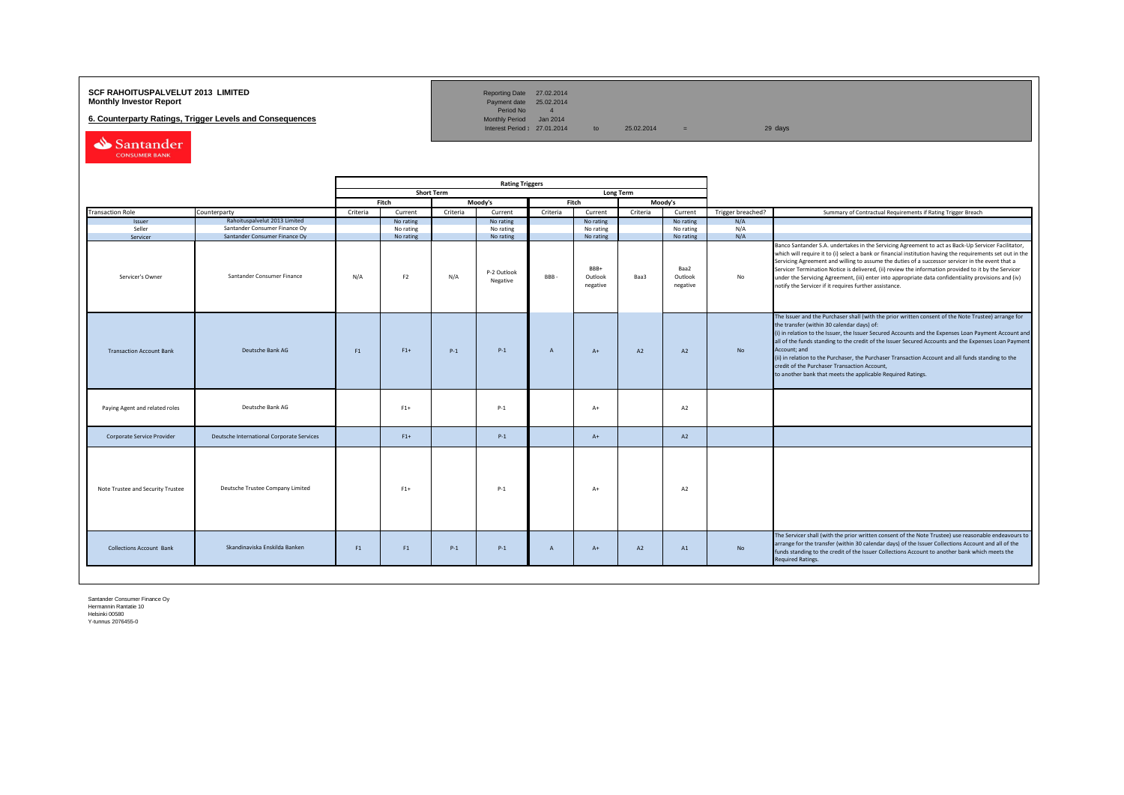## **SCF RAHOITUSPALVELUT 2013 LIMITED**<br>**Monthly Investor Report** Payment date 25.02.2014

**6. Counterparty Ratings, Trigger Levels and Consequences** 

Reporting Date 27.02.2014<br>Payment date 25.02.2014<br>Period No 4<br>Monthly Period Jan 2014

 $Interest Period: 27.01.2014$  to  $25.02.2014$  = 29 days

Santander

|                                   |                                                                |          |                        |                   | <b>Rating Triggers</b>  |                |                             |                  |                                                                                                                               |                   |                                                                                                                                                                                                                                                                                                                                                                                                                                                                                                                                                                                                |
|-----------------------------------|----------------------------------------------------------------|----------|------------------------|-------------------|-------------------------|----------------|-----------------------------|------------------|-------------------------------------------------------------------------------------------------------------------------------|-------------------|------------------------------------------------------------------------------------------------------------------------------------------------------------------------------------------------------------------------------------------------------------------------------------------------------------------------------------------------------------------------------------------------------------------------------------------------------------------------------------------------------------------------------------------------------------------------------------------------|
|                                   |                                                                |          |                        | <b>Short Term</b> |                         |                |                             | <b>Long Term</b> |                                                                                                                               |                   |                                                                                                                                                                                                                                                                                                                                                                                                                                                                                                                                                                                                |
|                                   |                                                                |          | Fitch                  |                   | Moody's                 |                | Fitch                       |                  | Moody's                                                                                                                       |                   |                                                                                                                                                                                                                                                                                                                                                                                                                                                                                                                                                                                                |
| <b>Transaction Role</b>           | Counterparty                                                   | Criteria | Current                | Criteria          | Current                 | Criteria       | Current                     | Criteria         | Current                                                                                                                       | Trigger breached? | Summary of Contractual Requirements if Rating Trigger Breach                                                                                                                                                                                                                                                                                                                                                                                                                                                                                                                                   |
| Issuer                            | Rahoituspalvelut 2013 Limited<br>Santander Consumer Finance Oy |          | No rating              |                   | No rating               |                | No rating                   |                  | No rating                                                                                                                     | N/A               |                                                                                                                                                                                                                                                                                                                                                                                                                                                                                                                                                                                                |
| Seller<br>Servicer                | Santander Consumer Finance Oy                                  |          | No rating<br>No rating |                   | No rating<br>No rating  |                | No rating<br>No rating      |                  | No rating<br>No rating                                                                                                        | N/A<br>N/A        |                                                                                                                                                                                                                                                                                                                                                                                                                                                                                                                                                                                                |
| Servicer's Owner                  | Santander Consumer Finance                                     | N/A      | F <sub>2</sub>         | N/A               | P-2 Outlook<br>Negative | <b>BBB</b>     | BBB+<br>Outlook<br>negative | Baa3             | Baa2<br>Outlook<br>negative                                                                                                   | No                | Banco Santander S.A. undertakes in the Servicing Agreement to act as Back-Up Servicer Facilitator,<br>which will require it to (i) select a bank or financial institution having the requirements set out in the<br>Servicing Agreement and willing to assume the duties of a successor servicer in the event that a<br>Servicer Termination Notice is delivered, (ii) review the information provided to it by the Servicer<br>under the Servicing Agreement, (iii) enter into appropriate data confidentiality provisions and (iv)<br>notify the Servicer if it requires further assistance. |
| <b>Transaction Account Bank</b>   | Deutsche Bank AG                                               | F1       | $F1+$                  | $P-1$             | $P-1$                   | $\mathsf{A}$   | $A+$                        | A2               | the transfer (within 30 calendar days) of:<br>Account; and<br><b>No</b><br>A2<br>credit of the Purchaser Transaction Account, |                   | The Issuer and the Purchaser shall (with the prior written consent of the Note Trustee) arrange for<br>(i) in relation to the Issuer, the Issuer Secured Accounts and the Expenses Loan Payment Account and<br>all of the funds standing to the credit of the Issuer Secured Accounts and the Expenses Loan Payment<br>(ii) in relation to the Purchaser, the Purchaser Transaction Account and all funds standing to the<br>to another bank that meets the applicable Required Ratings.                                                                                                       |
| Paying Agent and related roles    | Deutsche Bank AG                                               |          | $F1+$                  |                   | $P-1$                   |                | $A+$                        |                  | A <sub>2</sub>                                                                                                                |                   |                                                                                                                                                                                                                                                                                                                                                                                                                                                                                                                                                                                                |
| Corporate Service Provider        | Deutsche International Corporate Services                      |          | $F1+$                  |                   | $P-1$                   |                | $A+$                        |                  | A2                                                                                                                            |                   |                                                                                                                                                                                                                                                                                                                                                                                                                                                                                                                                                                                                |
| Note Trustee and Security Trustee | Deutsche Trustee Company Limited                               |          | $F1+$                  |                   | $P-1$                   |                | $A+$                        |                  | A2                                                                                                                            |                   |                                                                                                                                                                                                                                                                                                                                                                                                                                                                                                                                                                                                |
| <b>Collections Account Bank</b>   | Skandinaviska Enskilda Banken                                  | F1       | F1                     | $P-1$             | $P-1$                   | $\overline{A}$ | $A+$                        | A2               | A1                                                                                                                            | No                | The Servicer shall (with the prior written consent of the Note Trustee) use reasonable endeavours to<br>arrange for the transfer (within 30 calendar days) of the Issuer Collections Account and all of the<br>funds standing to the credit of the Issuer Collections Account to another bank which meets the<br><b>Required Ratings.</b>                                                                                                                                                                                                                                                      |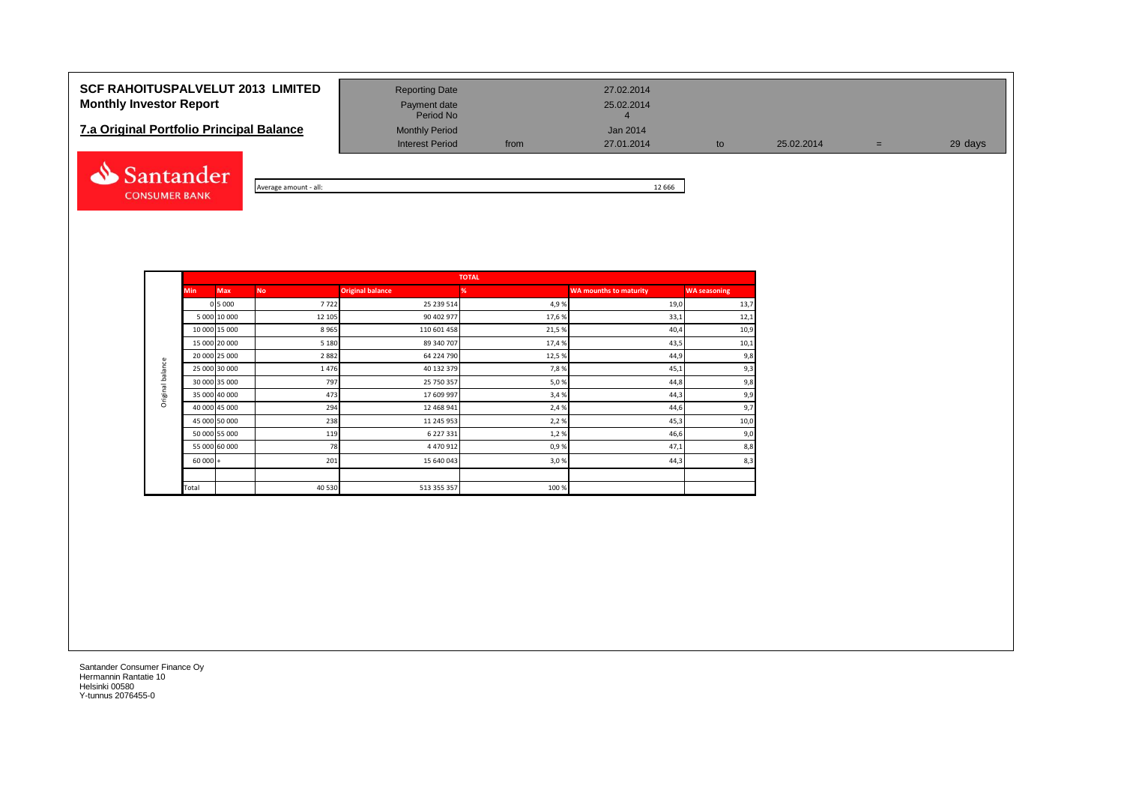## **SCF RAHOITUSPALVELUT 2013 LIMITED** Reporting Date 27.02.2014 **Monthly Investor Report Payment date** Payment date 25.02.2014

# **7.a Original Portfolio Principal Balance** Monthly Period Jan 2014<br>Interest Period from 27.01.2014



Average amount - all: 12 666

Interest Period from 27.01.2014 to 25.02.2014 = 29 days

|                  |            |               |           |                         | <b>TOTAL</b> |                               |                     |
|------------------|------------|---------------|-----------|-------------------------|--------------|-------------------------------|---------------------|
|                  | <b>Min</b> | <b>Max</b>    | <b>No</b> | <b>Original balance</b> | %            | <b>WA mounths to maturity</b> | <b>WA seasoning</b> |
|                  |            | 0 5 0 0 0     | 7722      | 25 239 514              | 4,9%         | 19,0                          | 13,7                |
|                  |            | 5 000 10 000  | 12 105    | 90 402 977              | 17,6%        | 33,1                          | 12,1                |
|                  |            | 10 000 15 000 | 8965      | 110 601 458             | 21,5%        | 40,4                          | 10,9                |
|                  |            | 15 000 20 000 | 5 1 8 0   | 89 340 707              | 17,4%        | 43,5                          | 10,1                |
|                  |            | 20 000 25 000 | 2882      | 64 224 790              | 12,5%        | 44,9                          | 9,8                 |
| Original balance |            | 25 000 30 000 | 1476      | 40 132 379              | 7,8%         | 45,1                          | 9,3                 |
|                  |            | 30 000 35 000 | 797       | 25 750 357              | 5,0%         | 44,8                          | 9,8                 |
|                  |            | 35 000 40 000 | 473       | 17 609 997              | 3,4%         | 44,3                          | 9,9                 |
|                  |            | 40 000 45 000 | 294       | 12 468 941              | 2,4 %        | 44,6                          | 9,7                 |
|                  |            | 45 000 50 000 | 238       | 11 245 953              | 2,2%         | 45,3                          | 10,0                |
|                  |            | 50 000 55 000 | 119       | 6 227 331               | 1,2%         | 46,6                          | 9,0                 |
|                  |            | 55 000 60 000 | 78        | 4 470 912               | 0,9%         | 47,1                          | 8,8                 |
|                  | $60000 +$  |               | 201       | 15 640 043              | 3,0%         | 44,3                          | 8,3                 |
|                  |            |               |           |                         |              |                               |                     |
|                  | Total      |               | 40 530    | 513 355 357             | 100%         |                               |                     |

Period No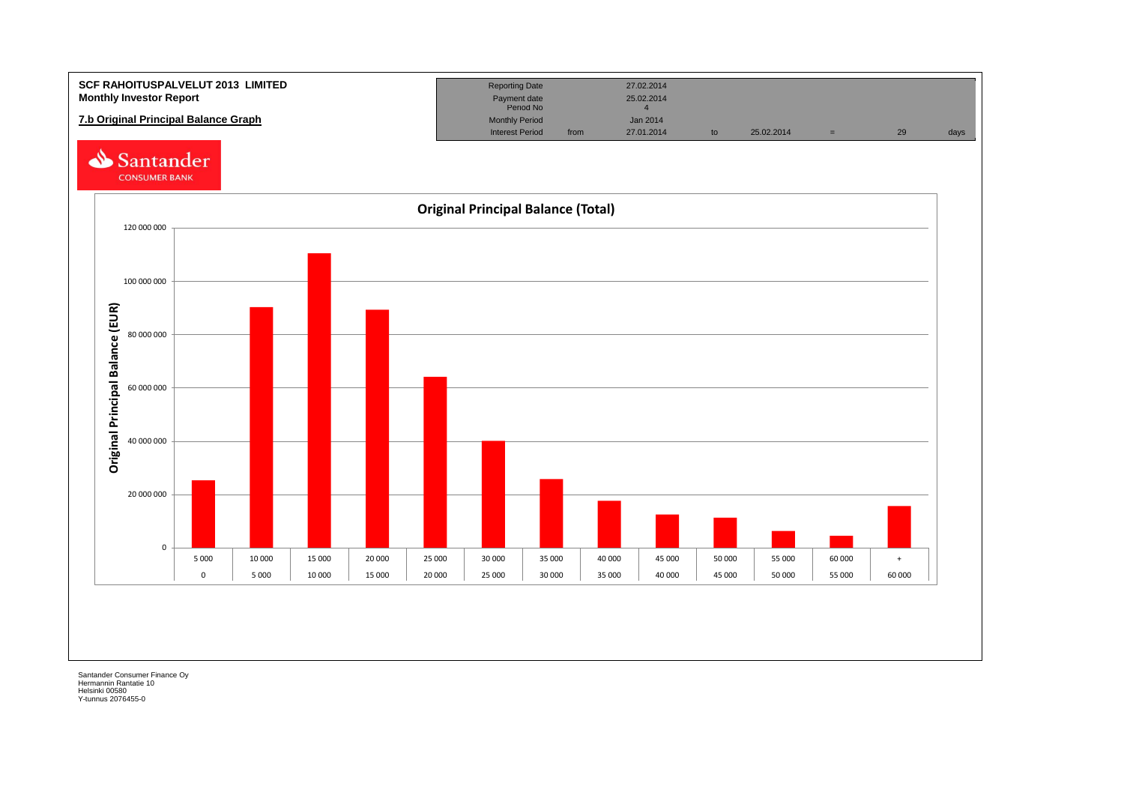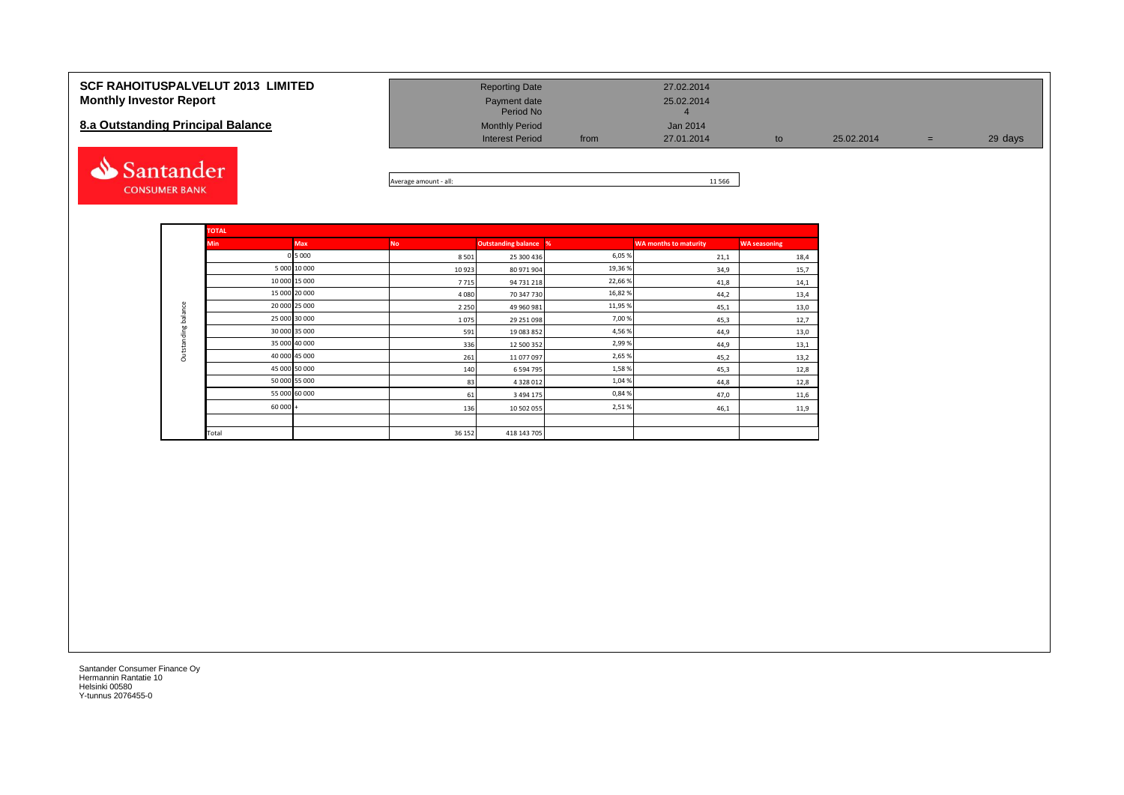#### **SCF RAHOITUSPALVELUT 2013 LIMITED Monthly Investor Report**

#### **8.a Outstanding Principal Balance**



| <b>Reporting Date</b>     |      | 27.02.2014 |    |            |   |         |
|---------------------------|------|------------|----|------------|---|---------|
| Payment date<br>Period No |      | 25.02.2014 |    |            |   |         |
| <b>Monthly Period</b>     |      | Jan 2014   |    |            |   |         |
| <b>Interest Period</b>    | from | 27.01.2014 | to | 25.02.2014 | = | 29 days |

Average amount - all: 11 566

|                     | <b>TOTAL</b> |               |           |                            |         |                              |                     |
|---------------------|--------------|---------------|-----------|----------------------------|---------|------------------------------|---------------------|
|                     | <b>Min</b>   | Max           | <b>No</b> | <b>Outstanding balance</b> | %       | <b>WA months to maturity</b> | <b>WA seasoning</b> |
|                     |              | 0 5 000       | 8501      | 25 300 436                 | 6,05 %  | 21,1                         | 18,4                |
|                     |              | 5 000 10 000  | 10923     | 80 971 904                 | 19,36 % | 34,9                         | 15,7                |
|                     |              | 10 000 15 000 | 7715      | 94 731 218                 | 22,66 % | 41,8                         | 14,1                |
|                     |              | 15 000 20 000 | 4080      | 70 347 730                 | 16,82 % | 44,2                         | 13,4                |
|                     |              | 20 000 25 000 | 2 2 5 0   | 49 960 981                 | 11,95 % | 45,1                         | 13,0                |
|                     |              | 25 000 30 000 | 1075      | 29 251 098                 | 7,00 %  | 45,3                         | 12,7                |
| Outstanding balance |              | 30 000 35 000 | 591       | 19 083 852                 | 4,56 %  | 44,9                         | 13,0                |
|                     |              | 35 000 40 000 | 336       | 12 500 352                 | 2,99 %  | 44,9                         | 13,1                |
|                     |              | 40 000 45 000 | 261       | 11 077 097                 | 2,65 %  | 45,2                         | 13,2                |
|                     |              | 45 000 50 000 | 140       | 6 5 9 4 7 9 5              | 1,58%   | 45,3                         | 12,8                |
|                     |              | 50 000 55 000 | 83        | 4 3 2 8 0 1 2              | 1,04 %  | 44,8                         | 12,8                |
|                     |              | 55 000 60 000 | 61        | 3 4 9 4 1 7 5              | 0,84 %  | 47,0                         | 11,6                |
|                     | $60000 +$    |               | 136       | 10 502 055                 | 2,51%   | 46,1                         | 11,9                |
|                     |              |               |           |                            |         |                              |                     |
|                     | Total        |               | 36 152    | 418 143 705                |         |                              |                     |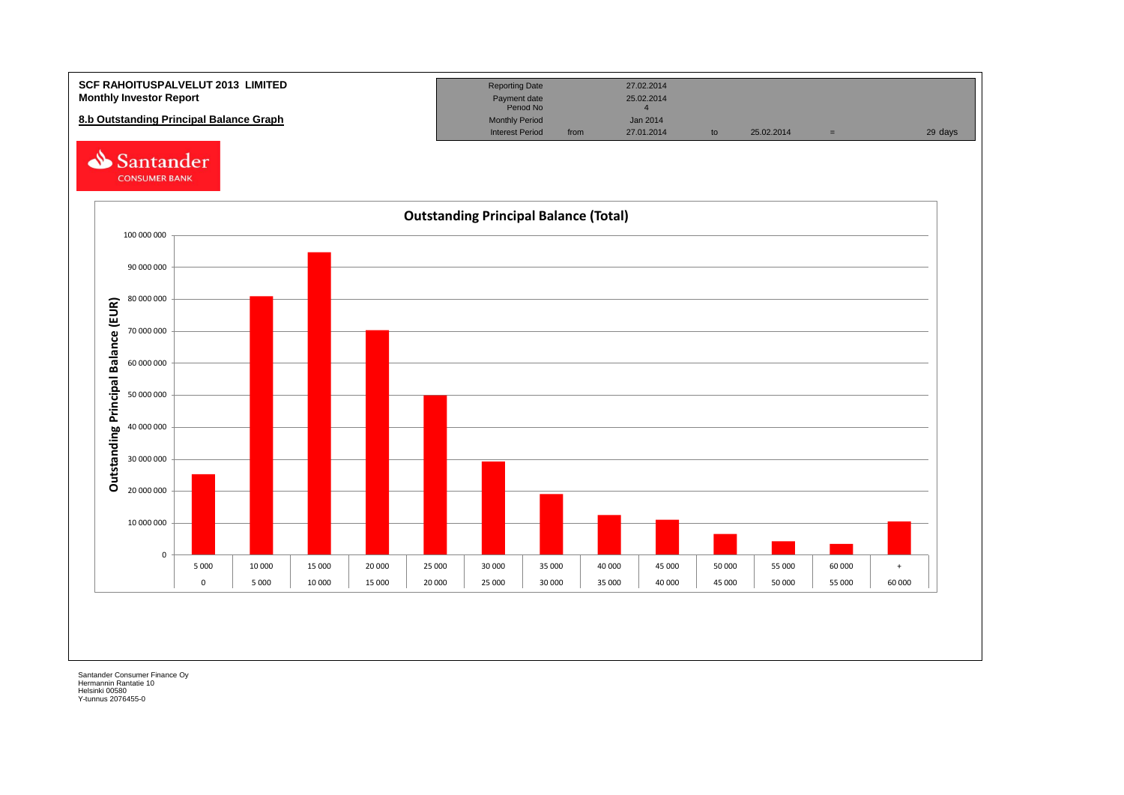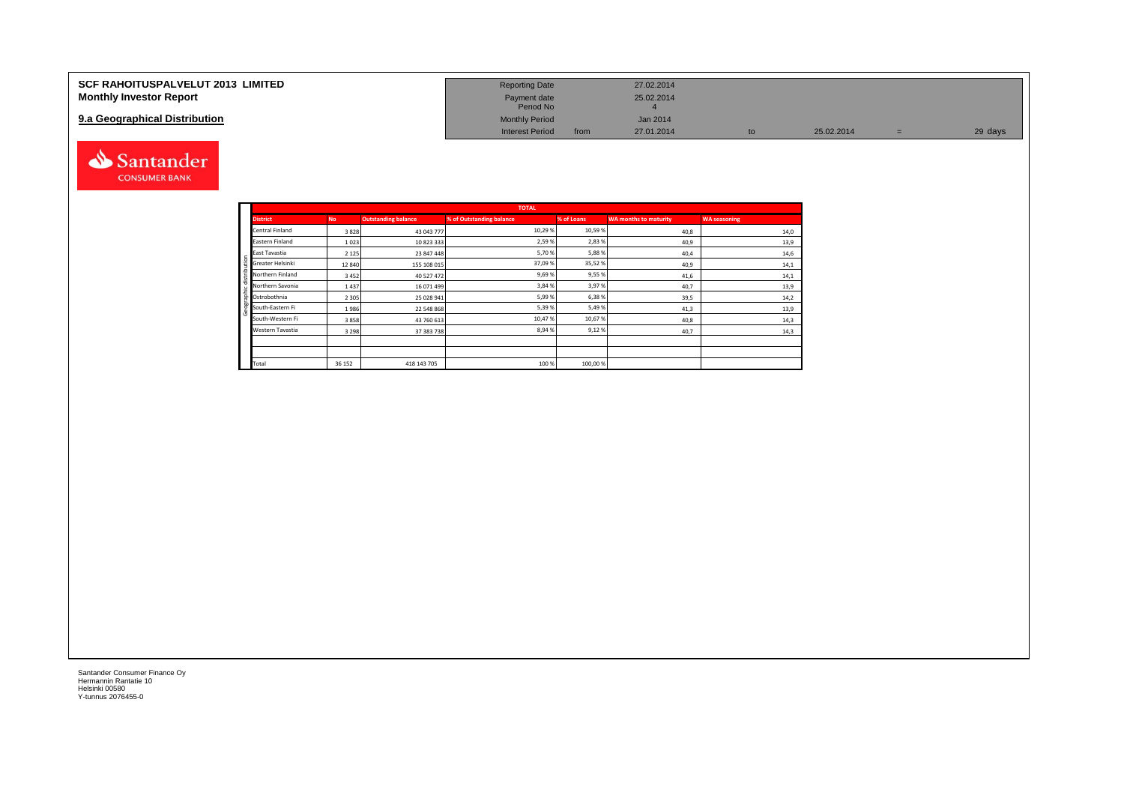| <b>SCF RAHOITUSPALVELUT 2013 LIMITED</b> | <b>Reporting Date</b>     |      | 27.02.2014 |    |            |         |
|------------------------------------------|---------------------------|------|------------|----|------------|---------|
| <b>Monthly Investor Report</b>           | Payment date<br>Period No |      | 25.02.2014 |    |            |         |
| 9.a Geographical Distribution            | <b>Monthly Period</b>     |      | Jan 2014   |    |            |         |
|                                          | <b>Interest Period</b>    | from | 27.01.2014 | to | 25.02.2014 | 29 days |



|              |                  |           |                            | <b>TOTAL</b>             |            |                              |                     |
|--------------|------------------|-----------|----------------------------|--------------------------|------------|------------------------------|---------------------|
|              | <b>District</b>  | <b>No</b> | <b>Outstanding balance</b> | % of Outstanding balance | % of Loans | <b>WA months to maturity</b> | <b>WA seasoning</b> |
|              | Central Finland  | 3828      | 43 043 777                 | 10,29 %                  | 10,59%     | 40,8                         | 14,0                |
|              | Eastern Finland  | 1023      | 10 823 333                 | 2,59%                    | 2,83%      | 40,9                         | 13,9                |
|              | East Tavastia    | 2 1 2 5   | 23 847 448                 | 5,70%                    | 5,88%      | 40,4                         | 14,6                |
|              | Greater Helsinki | 12 840    | 155 108 015                | 37,09%                   | 35,52%     | 40,9                         | 14,1                |
| distribution | Northern Finland | 3452      | 40 527 472                 | 9,69%                    | 9,55%      | 41,6                         | 14,1                |
|              | Northern Savonia | 1437      | 16 071 499                 | 3,84 %                   | 3,97%      | 40,7                         | 13,9                |
| Geographic   | Ostrobothnia     | 2 3 0 5   | 25 028 941                 | 5,99%                    | 6,38%      | 39,5                         | 14,2                |
|              | South-Eastern Fi | 1986      | 22 548 868                 | 5,39%                    | 5,49%      | 41,3                         | 13,9                |
|              | South-Western Fi | 3858      | 43 760 613                 | 10,47%                   | 10,67%     | 40,8                         | 14,3                |
|              | Western Tavastia | 3 2 9 8   | 37 383 738                 | 8,94 %                   | 9,12%      | 40,7                         | 14,3                |
|              |                  |           |                            |                          |            |                              |                     |
|              |                  |           |                            |                          |            |                              |                     |
|              | Total            | 36 152    | 418 143 705                | 100 %                    | 100,00%    |                              |                     |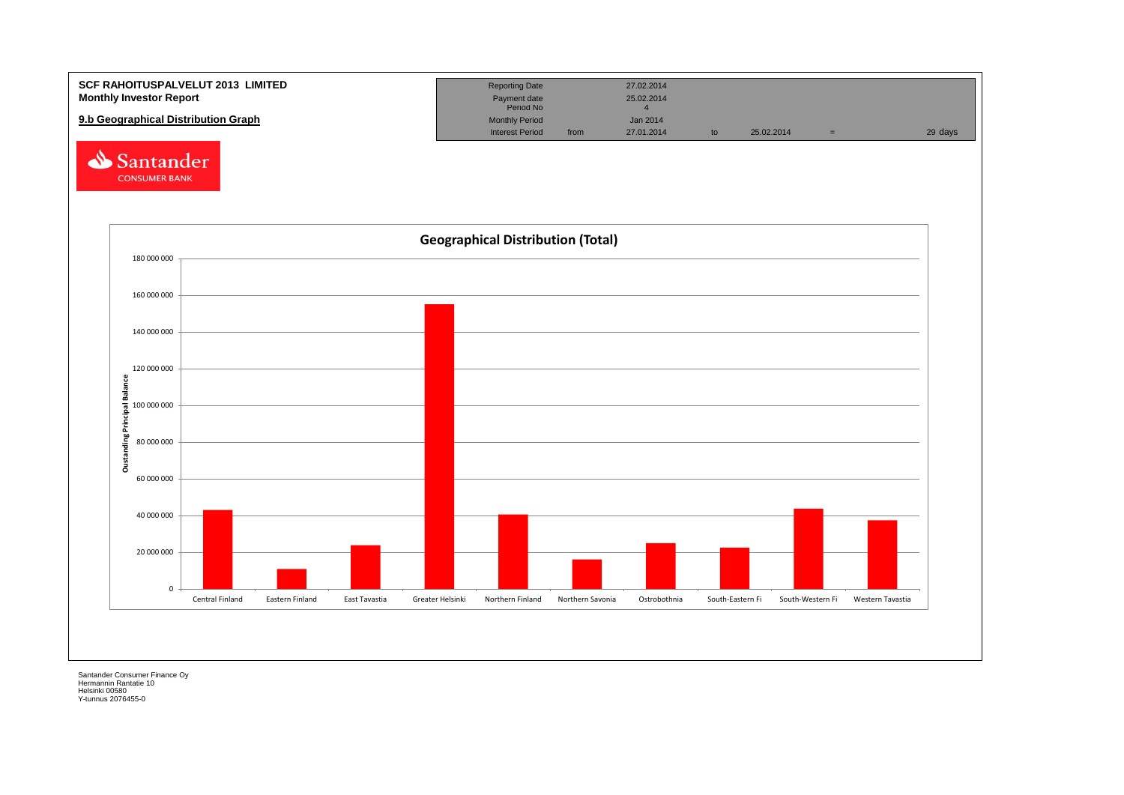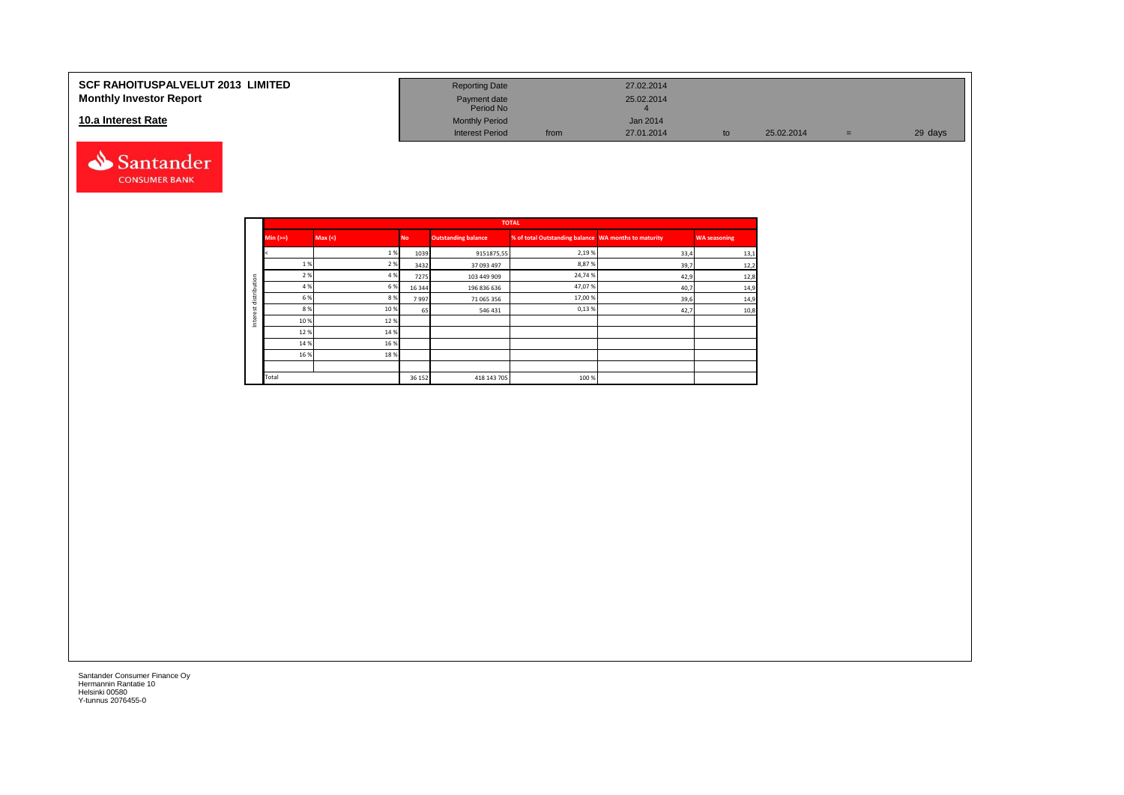#### **SCF RAHOITUSPALVELUT 2013 LIMITED Monthly Investor Report**

#### **10.a Interest Rate**



| <b>Reporting Date</b>     |      | 27.02.2014      |    |            |     |         |
|---------------------------|------|-----------------|----|------------|-----|---------|
| Payment date<br>Period No |      | 25.02.2014      |    |            |     |         |
| <b>Monthly Period</b>     |      | <b>Jan 2014</b> |    |            |     |         |
| <b>Interest Period</b>    | from | 27.01.2014      | to | 25.02.2014 | $=$ | 29 days |

|            |          |         |           |                            | <b>TOTAL</b>                                         |      |                     |
|------------|----------|---------|-----------|----------------------------|------------------------------------------------------|------|---------------------|
|            | $Min (=$ | Max (<) | <b>No</b> | <b>Outstanding balance</b> | % of total Outstanding balance WA months to maturity |      | <b>WA seasoning</b> |
|            |          | 1%      | 1039      | 9151875,55                 | 2,19%                                                | 33,4 | 13,1                |
|            | 1 %      | 2 %     | 3432      | 37 093 497                 | 8,87%                                                | 39,7 | 12,2                |
| ution      | 2 %      | 4 %     | 7275      | 103 449 909                | 24,74%                                               | 42,9 | 12,8                |
|            | 4 %      | 6 %     | 16 344    | 196 836 636                | 47,07%                                               | 40,7 | 14,9                |
| strib<br>岩 | 6 %      | 8%      | 7997      | 71 065 356                 | 17,00 %                                              | 39,6 | 14,9                |
| α          | 8 %      | 10%     | 65        | 546 431                    | 0,13%                                                | 42,7 | 10,8                |
| ğ<br>Ξ     | 10%      | 12%     |           |                            |                                                      |      |                     |
|            | 12%      | 14 %    |           |                            |                                                      |      |                     |
|            | 14 %     | 16 %    |           |                            |                                                      |      |                     |
|            | 16 %     | 18%     |           |                            |                                                      |      |                     |
|            |          |         |           |                            |                                                      |      |                     |
|            | Total    |         | 36 15 2   | 418 143 705                | 100 %                                                |      |                     |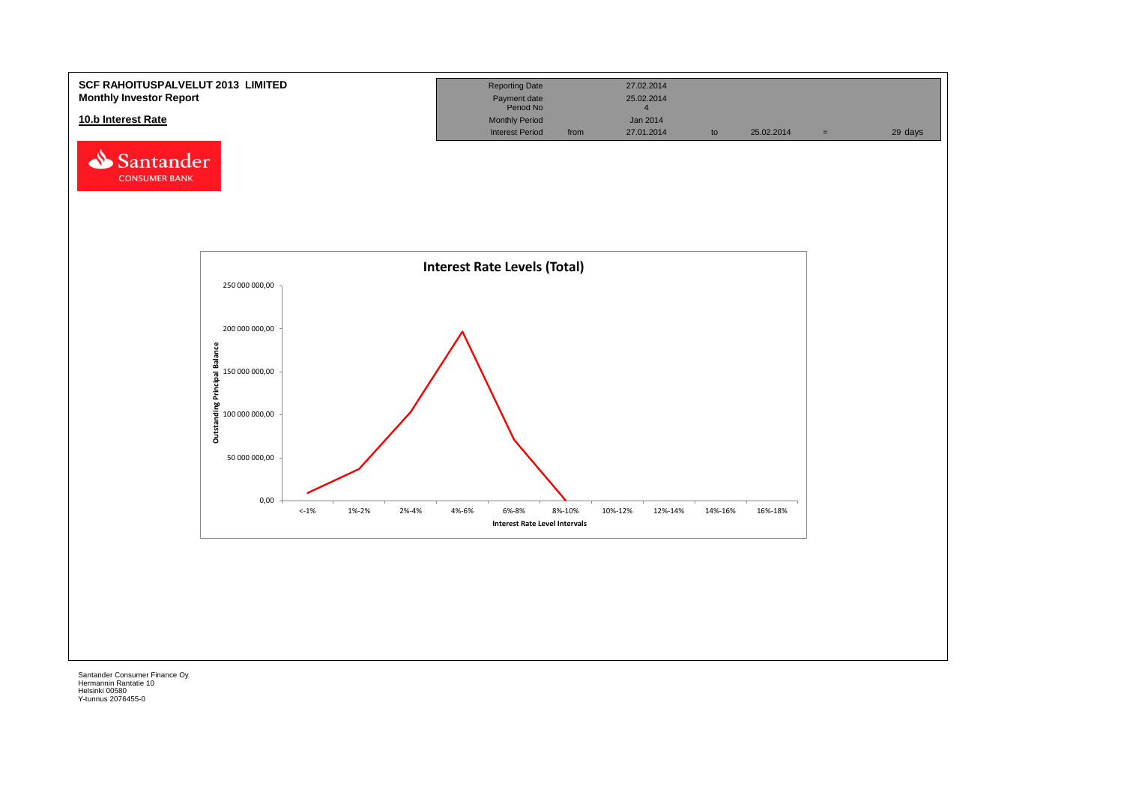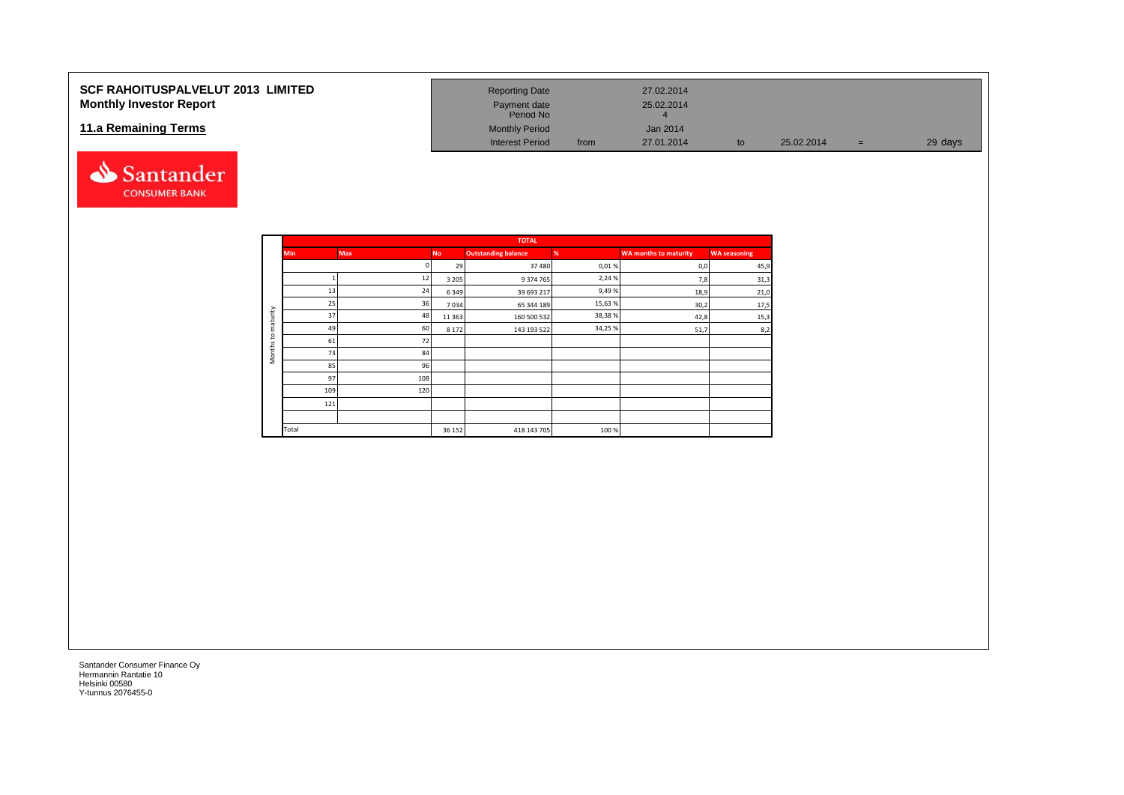### **SCF RAHOITUSPALVELUT 2013 LIMITED Monthly Investor Report**

#### **11.a Remaining Terms**



| <b>Reporting Date</b>     |      | 27.02.2014      |    |            |     |         |
|---------------------------|------|-----------------|----|------------|-----|---------|
| Payment date<br>Period No |      | 25.02.2014<br>4 |    |            |     |         |
| <b>Monthly Period</b>     |      | Jan 2014        |    |            |     |         |
| <b>Interest Period</b>    | from | 27.01.2014      | to | 25.02.2014 | $=$ | 29 days |

|                     |            |            |           | <b>TOTAL</b>               |         |                              |                     |
|---------------------|------------|------------|-----------|----------------------------|---------|------------------------------|---------------------|
|                     | <b>Min</b> | <b>Max</b> | <b>No</b> | <b>Outstanding balance</b> | %       | <b>WA months to maturity</b> | <b>WA seasoning</b> |
|                     |            |            | 29        | 37 480                     | 0,01%   | 0,0                          | 45,9                |
|                     |            | 12         | 3 2 0 5   | 9 374 765                  | 2,24 %  | 7,8                          | 31,3                |
|                     | 13         | 24         | 6349      | 39 693 217                 | 9,49%   | 18,9                         | 21,0                |
|                     | 25         | 36         | 7034      | 65 344 189                 | 15,63%  | 30,2                         | 17,5                |
| maturity            | 37         | 48         | 11 3 6 3  | 160 500 532                | 38,38 % | 42,8                         | 15,3                |
| 5                   | 49         | 60         | 8 1 7 2   | 143 193 522                | 34,25%  | 51,7                         | 8,2                 |
|                     | 61         | 72         |           |                            |         |                              |                     |
| Months <sub>1</sub> | 73         | 84         |           |                            |         |                              |                     |
|                     | 85         | 96         |           |                            |         |                              |                     |
|                     | 97         | 108        |           |                            |         |                              |                     |
|                     | 109        | 120        |           |                            |         |                              |                     |
|                     | 121        |            |           |                            |         |                              |                     |
|                     |            |            |           |                            |         |                              |                     |
|                     | Total      |            | 36 152    | 418 143 705                | 100 %   |                              |                     |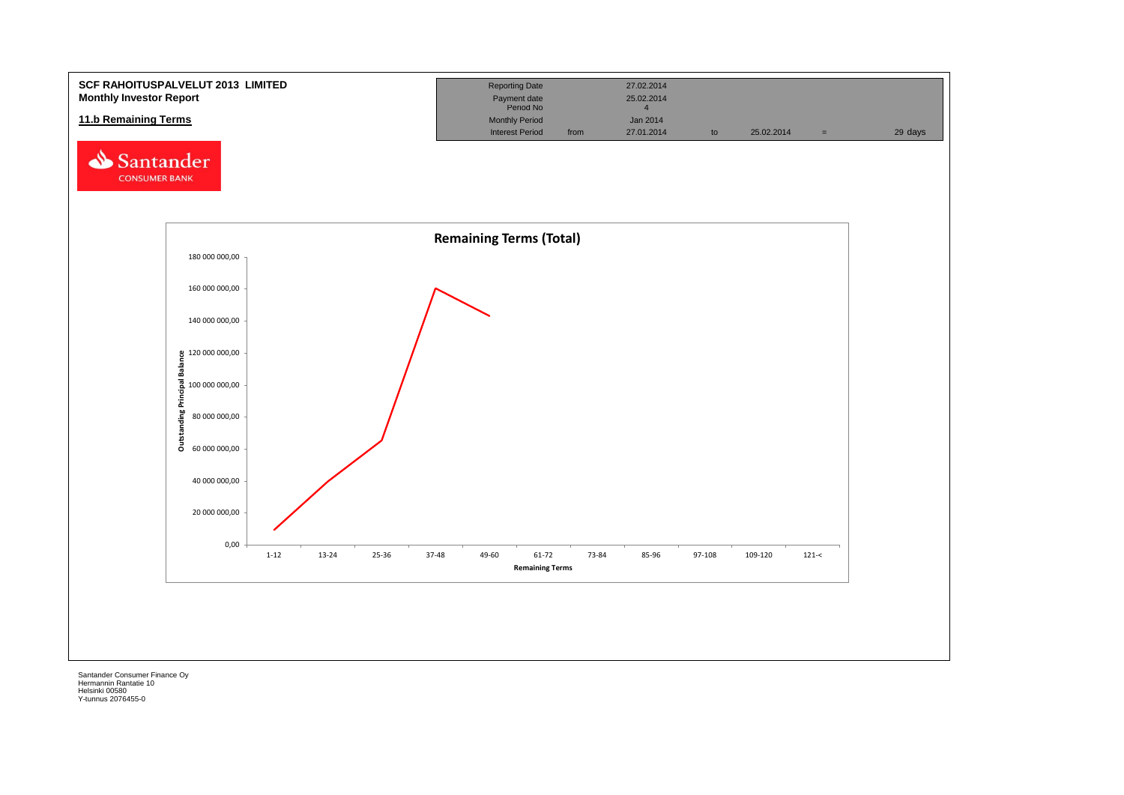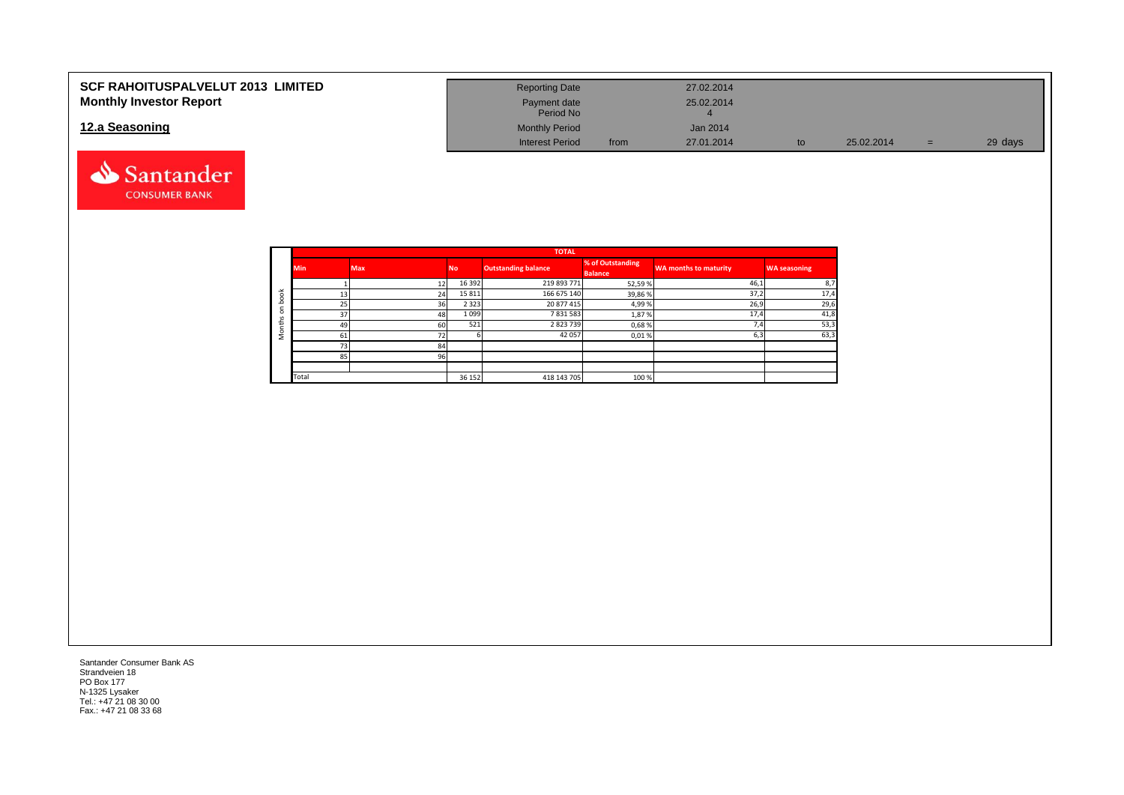| <b>SCF RAHOITUSPALVELUT 2013 LIMITED</b> | <b>Reporting Date</b>     |      | 27.02.2014 |            |     |         |
|------------------------------------------|---------------------------|------|------------|------------|-----|---------|
| <b>Monthly Investor Report</b>           | Payment date<br>Period No |      | 25.02.2014 |            |     |         |
| 12.a Seasoning                           | <b>Monthly Period</b>     |      | Jan 2014   |            |     |         |
|                                          | <b>Interest Period</b>    | from | 27.01.2014 | 25.02.2014 | $=$ | 29 days |



Santander Consumer Bank AS Strandveien 18 PO Box 177 N-1325 Lysaker Tel.: +47 21 08 30 00 Fax.: +47 21 08 33 68

Santander **CONSUMER BANK**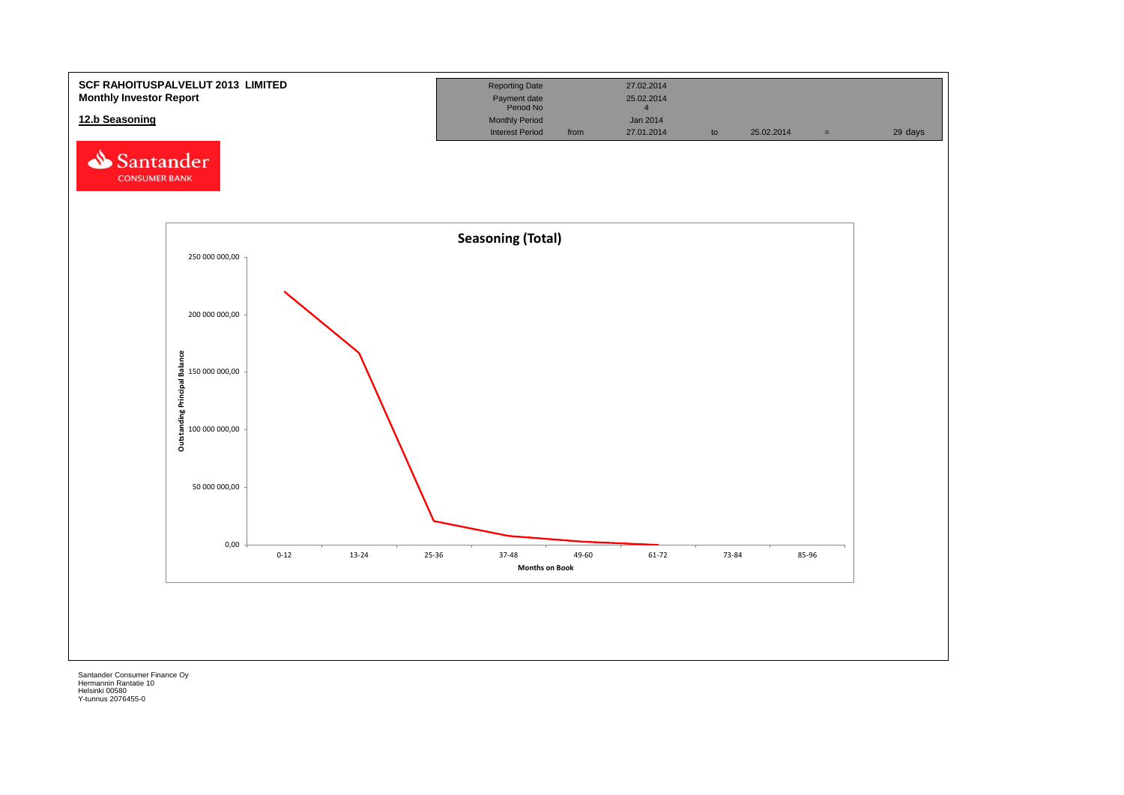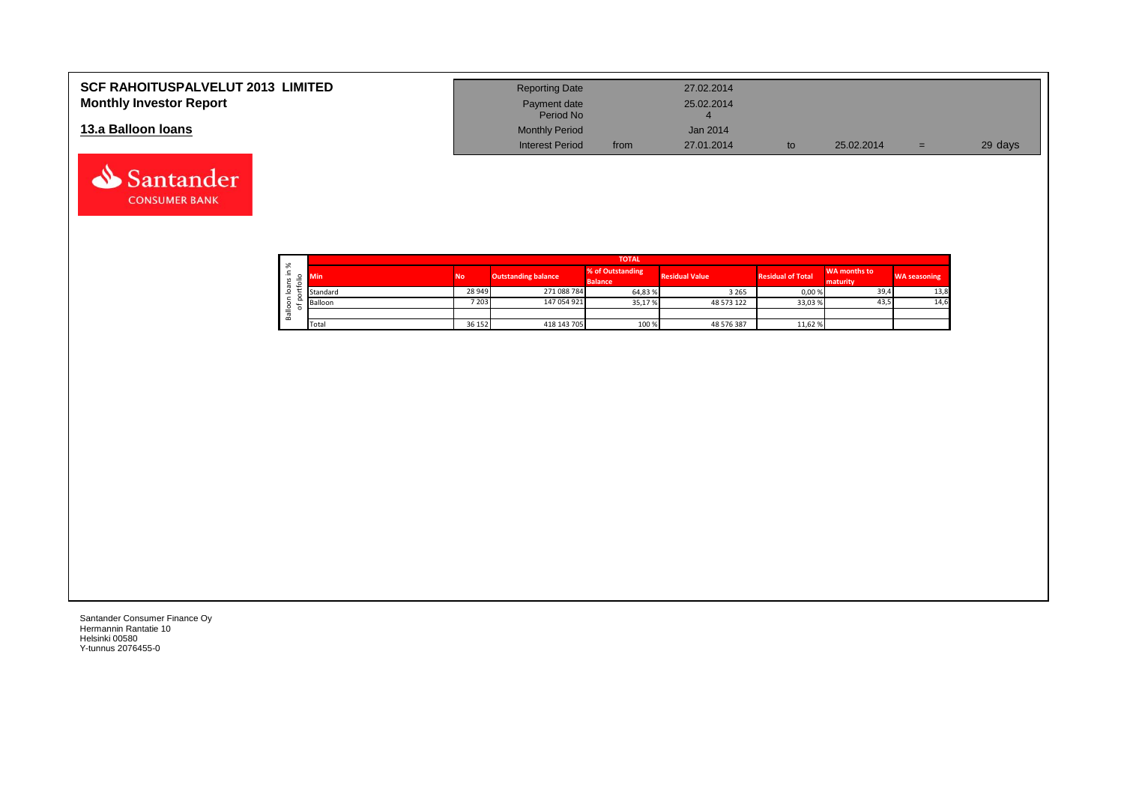| <b>SCF RAHOITUSPALVELUT 2013 LIMITED</b><br><b>Monthly Investor Report</b> | <b>Reporting Date</b><br>Payment date                        |      | 27.02.2014<br>25.02.2014 |            |     |         |
|----------------------------------------------------------------------------|--------------------------------------------------------------|------|--------------------------|------------|-----|---------|
| 13.a Balloon Ioans                                                         | Period No<br><b>Monthly Period</b><br><b>Interest Period</b> | from | Jan 2014<br>27.01.2014   | 25.02.2014 | $=$ | 29 days |

|                                                                     |                  |        |                            | <b>TOTAL</b>                       |                       |                          |                          |                     |
|---------------------------------------------------------------------|------------------|--------|----------------------------|------------------------------------|-----------------------|--------------------------|--------------------------|---------------------|
| ৯ৎ<br>∸<br>$\mathbf{v}$<br>÷<br>$\sigma$<br>$\circ$<br>∘<br>σ<br>őñ | <b>No</b><br>Min |        | <b>Outstanding balance</b> | % of Outstanding<br><b>Balance</b> | <b>Residual Value</b> | <b>Residual of Total</b> | WA months to<br>maturity | <b>WA seasoning</b> |
|                                                                     | Standard         | 28 949 | 271 088 784                | 64,83%                             | 3 2 6 5               | 0,00%                    | 39,4                     | 13,8                |
|                                                                     | Balloon          | 7 203  | 147 054 921                | 35,17%                             | 48 573 122            | 33,03%                   | 43,5                     | 14,6                |
|                                                                     |                  |        |                            |                                    |                       |                          |                          |                     |
|                                                                     | Total            | 36 152 | 418 143 705                | 100 %                              | 48 576 387            | 11,62 %                  |                          |                     |

┑

Santander Consumer Finance Oy Hermannin Rantatie 10 Helsinki 00580 Y-tunnus 2076455-0

Santander **CONSUMER BANK**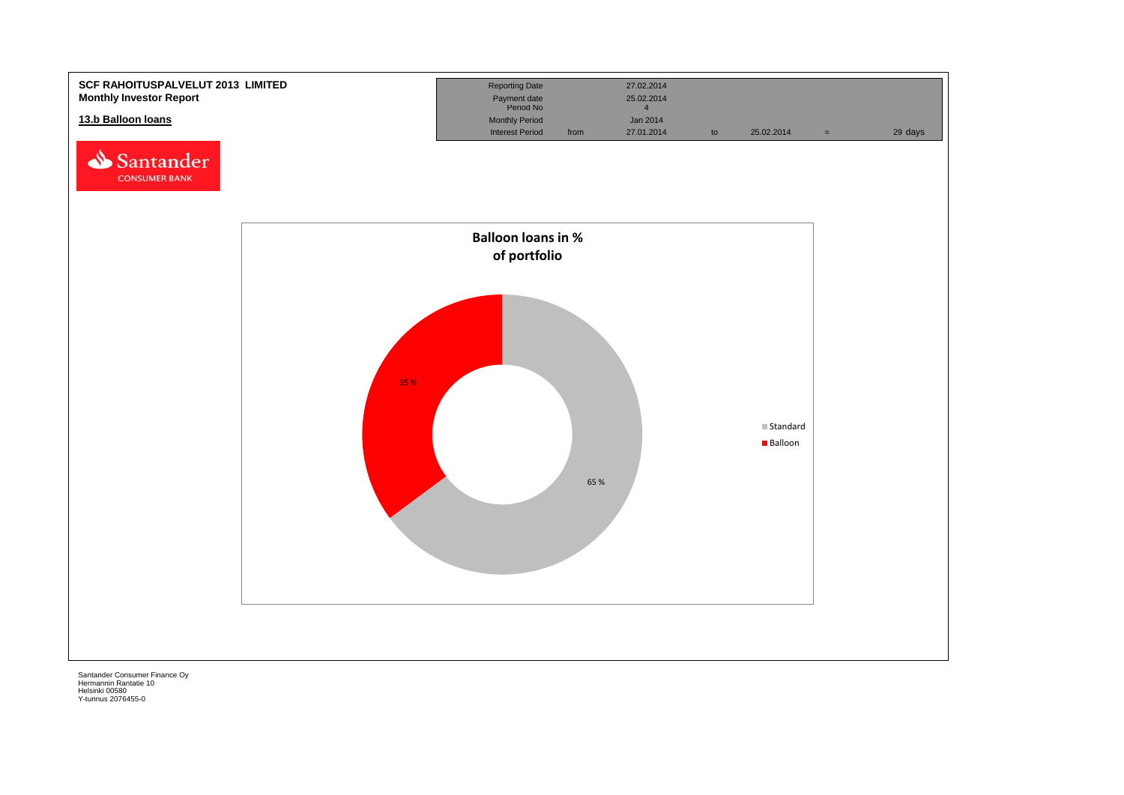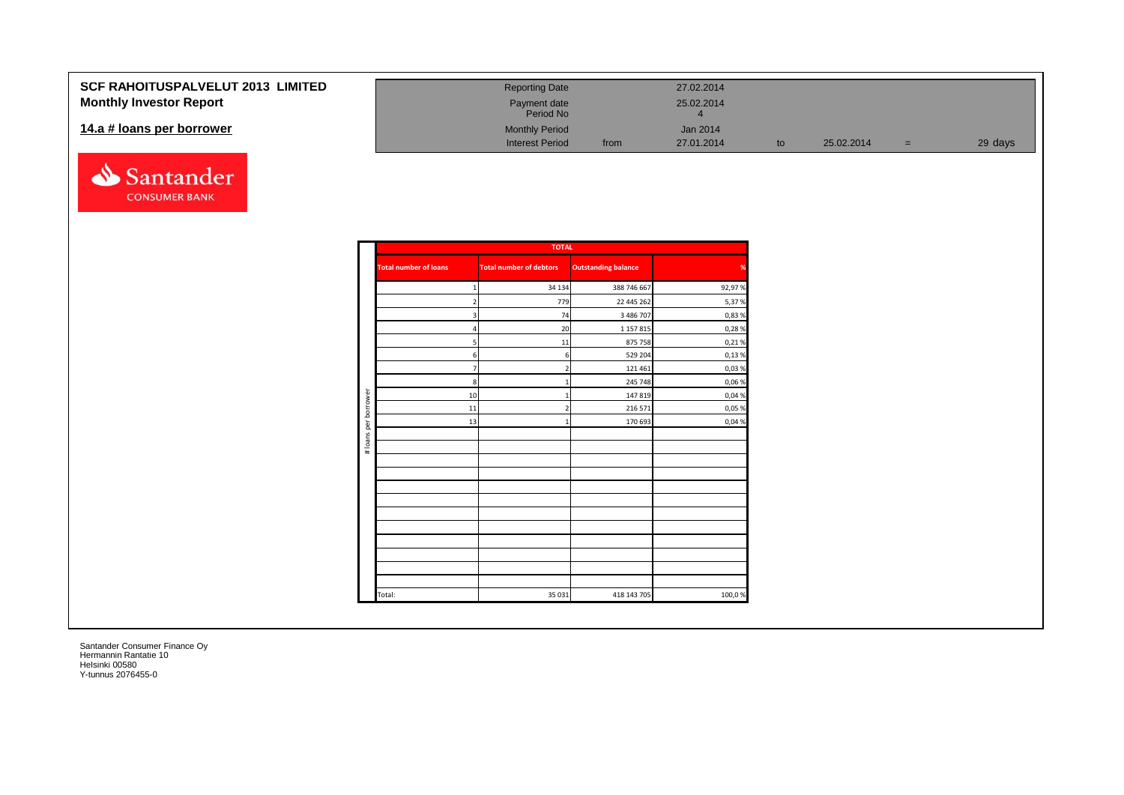| <b>SCF RAHOITUSPALVELUT 2013 LIMITED</b> | <b>Reporting Date</b>     |      | 27.02.2014 |            |     |         |
|------------------------------------------|---------------------------|------|------------|------------|-----|---------|
| <b>Monthly Investor Report</b>           | Payment date<br>Period No |      | 25.02.2014 |            |     |         |
| 14.a # loans per borrower                | <b>Monthly Period</b>     |      | Jan 2014   |            |     |         |
|                                          | <b>Interest Period</b>    | from | 27.01.2014 | 25.02.2014 | $=$ | 29 days |

|                      |                              | <b>TOTAL</b>                   |                            |        |
|----------------------|------------------------------|--------------------------------|----------------------------|--------|
|                      | <b>Total number of loans</b> | <b>Total number of debtors</b> | <b>Outstanding balance</b> | %      |
|                      | $\mathbf{1}$                 | 34 134                         | 388 746 667                | 92,97% |
|                      | $2 \overline{ }$             | 779                            | 22 445 262                 | 5,37%  |
|                      | $\overline{3}$               | 74                             | 3 486 707                  | 0,83 % |
|                      | 4                            | 20                             | 1 1 5 7 8 1 5              | 0,28%  |
|                      | 5                            | 11                             | 875 758                    | 0,21%  |
|                      | 6                            | 6                              | 529 204                    | 0,13%  |
|                      | $\overline{7}$               | $\overline{2}$                 | 121 461                    | 0,03%  |
|                      | 8                            | 1                              | 245 748                    | 0,06%  |
|                      | 10                           | 1                              | 147 819                    | 0,04 % |
|                      | 11                           | $\overline{2}$                 | 216 571                    | 0,05 % |
| # loans per borrower | 13                           | 1                              | 170 693                    | 0,04 % |
|                      |                              |                                |                            |        |
|                      |                              |                                |                            |        |
|                      |                              |                                |                            |        |
|                      |                              |                                |                            |        |
|                      |                              |                                |                            |        |
|                      |                              |                                |                            |        |
|                      |                              |                                |                            |        |
|                      |                              |                                |                            |        |
|                      |                              |                                |                            |        |
|                      |                              |                                |                            |        |
|                      |                              |                                |                            |        |
|                      |                              |                                |                            |        |
|                      | Total:                       | 35 0 31                        | 418 143 705                | 100,0% |

Santander **CONSUMER BANK**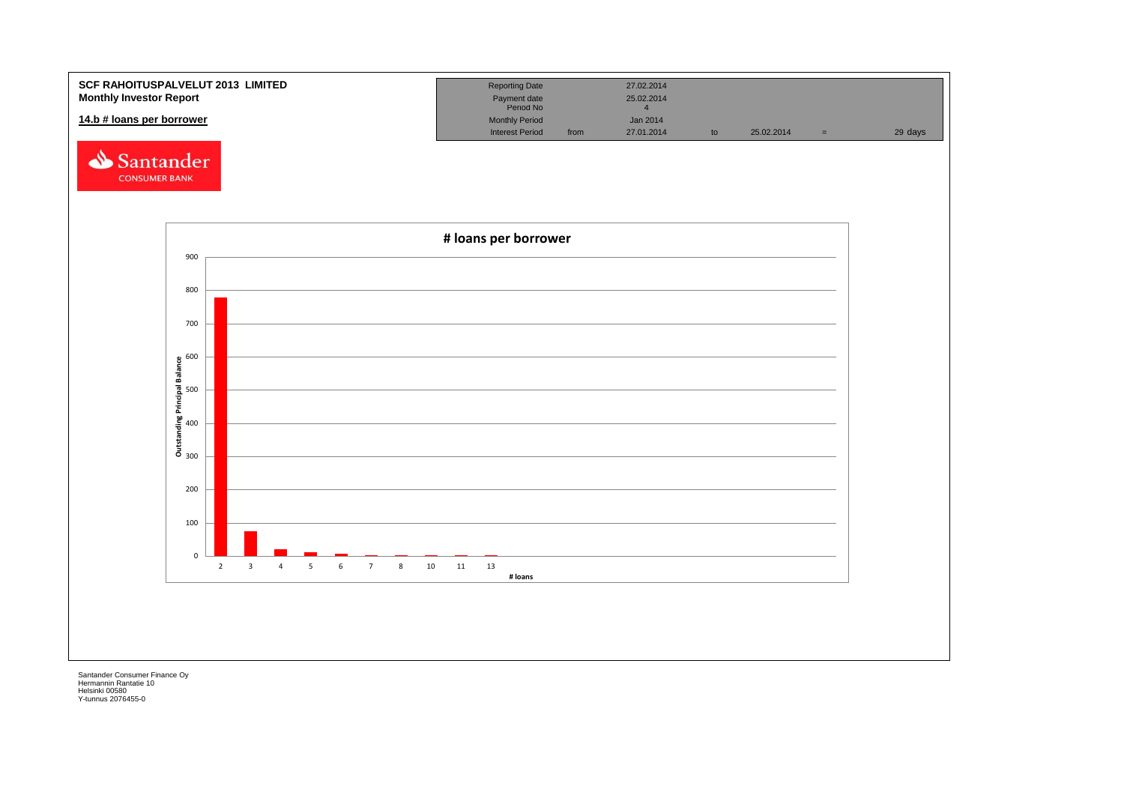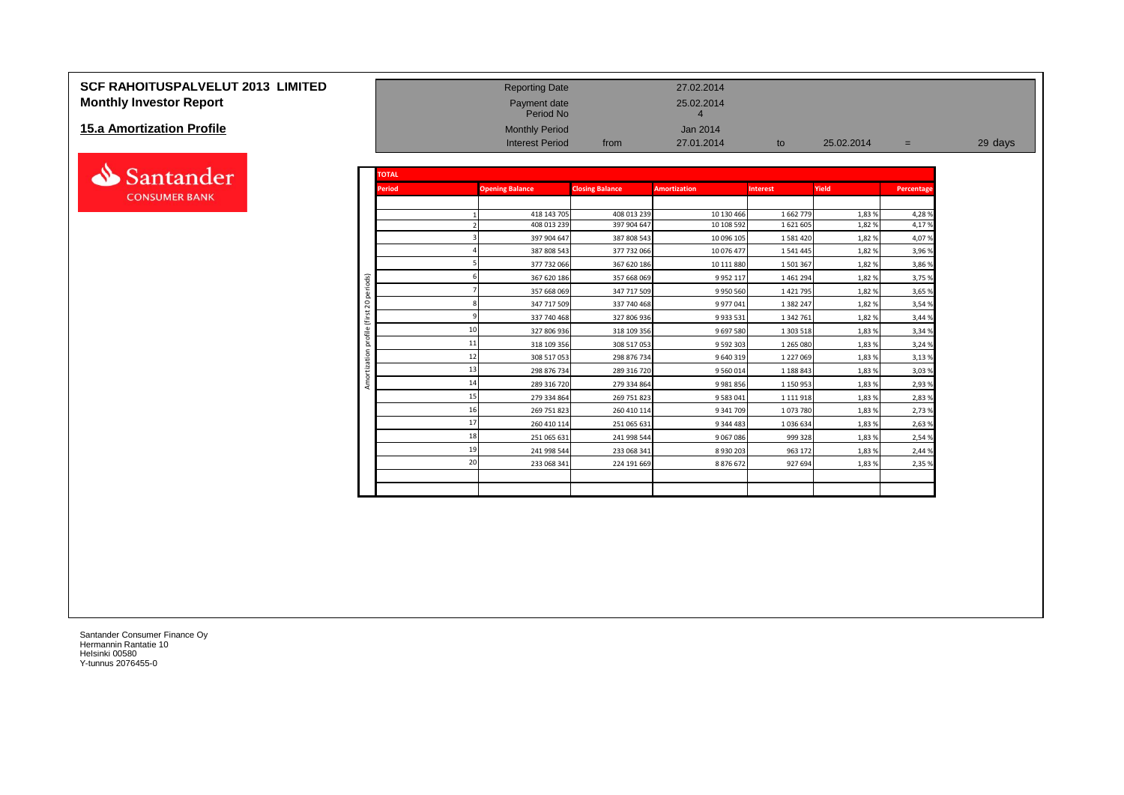# **SCF RAHOITUSPALVELUT 2013 LIMITED**<br> **Monthly Investor Report 27.02.2014**<br>
Period No Payment date 25.02.2014<br>
Period No Period No 4 **Monthly Investor Report**

#### **15.a Amortization Profile**



| 15.a Amortization Profile |                      |               | <b>Monthly Period</b>  |                        | <b>Jan 2014</b>     |                 |            |            |         |
|---------------------------|----------------------|---------------|------------------------|------------------------|---------------------|-----------------|------------|------------|---------|
|                           |                      |               | <b>Interest Period</b> | from                   | 27.01.2014          | to              | 25.02.2014 | $=$        | 29 days |
|                           |                      |               |                        |                        |                     |                 |            |            |         |
| Santander                 |                      | <b>TOTAL</b>  |                        |                        |                     |                 |            |            |         |
| <b>CONSUMER BANK</b>      |                      | <b>Period</b> | <b>Opening Balance</b> | <b>Closing Balance</b> | <b>Amortization</b> | <b>Interest</b> | Yield      | Percentage |         |
|                           |                      |               | 418 143 705            | 408 013 239            | 10 130 466          | 1 662 779       | 1,83%      | 4,28%      |         |
|                           |                      |               | 408 013 239            | 397 904 647            | 10 108 592          | 1 621 605       | 1,82%      | 4,17%      |         |
|                           |                      |               | 397 904 647            | 387 808 543            | 10 096 105          | 1581420         | 1,82%      | 4,07%      |         |
|                           |                      |               | 387 808 543            | 377 732 066            | 10 076 477          | 1541445         | 1,82%      | 3,96 %     |         |
|                           |                      |               | 377 732 066            | 367 620 186            | 10 111 880          | 1501367         | 1,82%      | 3,86 %     |         |
|                           | ods)                 |               | 367 620 186            | 357 668 069            | 9 9 5 2 1 1 7       | 1461294         | 1,82%      | 3,75 %     |         |
|                           |                      |               | 357 668 069            | 347 717 509            | 9 9 5 0 5 6 0       | 1 4 2 1 7 9 5   | 1,82%      | 3,65 %     |         |
|                           | $\circ$<br>$\bar{N}$ |               | 347 717 509            | 337 740 468            | 9 977 041           | 1 382 247       | 1,82%      | 3,54 %     |         |
|                           |                      |               | 337 740 468            | 327 806 936            | 9 9 3 5 5 3 1       | 1 342 761       | 1,82%      | 3,44 %     |         |
|                           |                      |               | 327 806 936            | 318 109 356            | 9 697 580           | 1 303 518       | 1,83%      | 3,34 %     |         |
|                           |                      | 11            | 318 109 356            | 308 517 053            | 9 5 9 2 3 0 3       | 1 265 080       | 1,83%      | 3,24 %     |         |
|                           |                      | 12            | 308 517 053            | 298 876 734            | 9 640 319           | 1 227 069       | 1,83%      | 3,13%      |         |
|                           |                      |               | 298 876 734            | 289 316 720            | 9 560 014           | 1 188 843       | 1,83%      | 3,03%      |         |
|                           |                      | 14            | 289 316 720            | 279 334 864            | 9 9 8 1 8 5 6       | 1 150 953       | 1,83%      | 2,93 %     |         |
|                           |                      | 15            | 279 334 864            | 269 751 823            | 9 5 8 3 0 4 1       | 1 1 1 1 9 1 8   | 1,83%      | 2,83 %     |         |
|                           |                      |               | 269 751 823            | 260 410 114            | 9 341 709           | 1073780         | 1,83%      | 2,73 %     |         |
|                           |                      | 17            | 260 410 114            | 251 065 631            | 9 344 483           | 1036634         | 1,83%      | 2,63 %     |         |
|                           |                      | 18            | 251 065 631            | 241 998 544            | 9 0 6 7 0 8 6       | 999 328         | 1,83%      | 2,54 %     |         |
|                           |                      |               | 241 998 544            | 233 068 341            | 8 9 3 0 2 0 3       | 963 172         | 1,83%      | 2,44 %     |         |
|                           |                      | 20            | 233 068 341            | 224 191 669            | 8876672             | 927 694         | 1,83%      | 2,35 %     |         |
|                           |                      |               |                        |                        |                     |                 |            |            |         |
|                           |                      |               |                        |                        |                     |                 |            |            |         |
|                           |                      |               |                        |                        |                     |                 |            |            |         |

Payment date<br>Period No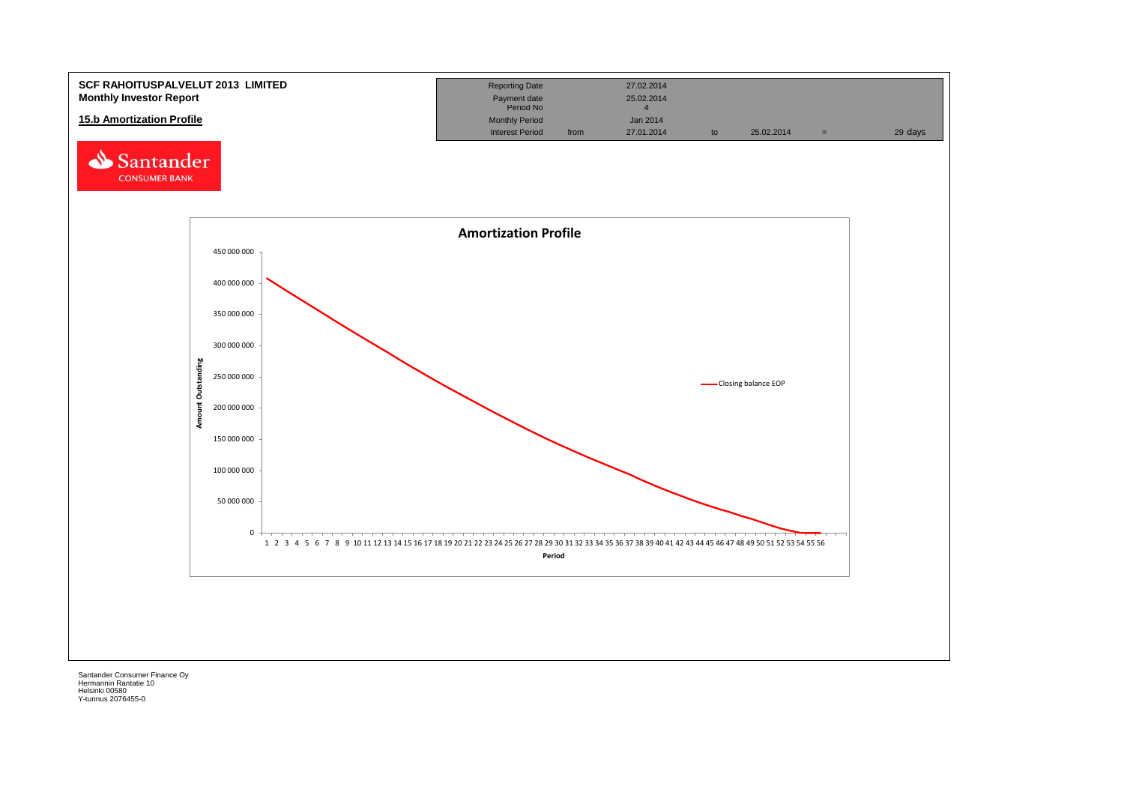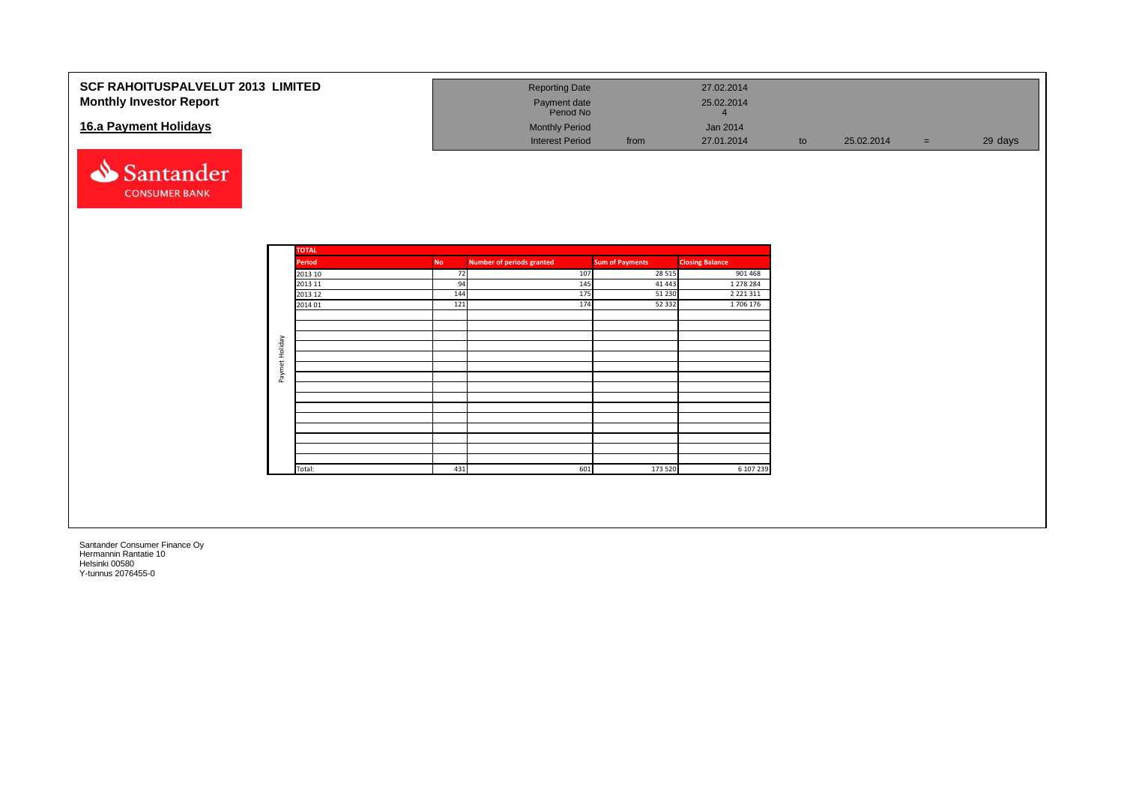| <b>SCF RAHOITUSPALVELUT 2013 LIMITED</b><br><b>Monthly Investor Report</b> |                      | <b>Reporting Date</b><br>Payment date<br>Period No |                                   | 27.02.2014<br>25.02.2014<br>$\overline{4}$ |    |            |     |         |
|----------------------------------------------------------------------------|----------------------|----------------------------------------------------|-----------------------------------|--------------------------------------------|----|------------|-----|---------|
| 16.a Payment Holidays                                                      |                      | <b>Monthly Period</b><br><b>Interest Period</b>    | from                              | Jan 2014<br>27.01.2014                     | to | 25.02.2014 | $=$ | 29 days |
| Santander<br><b>CONSUMER BANK</b>                                          |                      |                                                    |                                   |                                            |    |            |     |         |
| <b>TOTAL</b>                                                               |                      |                                                    |                                   |                                            |    |            |     |         |
| <b>Period</b>                                                              | <b>No</b><br>2013 10 | <b>Number of periods granted</b><br>107<br>72      | <b>Sum of Payments</b><br>28 5 15 | <b>Closing Balance</b><br>901 468          |    |            |     |         |
| 2013 11                                                                    |                      | 94<br>145                                          | 41 4 43                           | 1 278 284                                  |    |            |     |         |
|                                                                            | 144<br>2013 12       | 175                                                | 51 230                            | 2 2 2 1 3 1 1                              |    |            |     |         |
|                                                                            | 121<br>2014 01       | 174                                                | 52 332                            | 1706 176                                   |    |            |     |         |
|                                                                            |                      |                                                    |                                   |                                            |    |            |     |         |
|                                                                            |                      |                                                    |                                   |                                            |    |            |     |         |
| Paymet Holiday                                                             |                      |                                                    |                                   |                                            |    |            |     |         |
|                                                                            |                      |                                                    |                                   |                                            |    |            |     |         |
|                                                                            |                      |                                                    |                                   |                                            |    |            |     |         |
|                                                                            |                      |                                                    |                                   |                                            |    |            |     |         |
|                                                                            |                      |                                                    |                                   |                                            |    |            |     |         |
|                                                                            |                      |                                                    |                                   |                                            |    |            |     |         |
|                                                                            |                      |                                                    |                                   |                                            |    |            |     |         |
|                                                                            |                      |                                                    |                                   |                                            |    |            |     |         |
|                                                                            |                      |                                                    |                                   |                                            |    |            |     |         |
|                                                                            |                      |                                                    |                                   |                                            |    |            |     |         |
| Total:                                                                     | 431                  | 601                                                | 173 520                           | 6 107 239                                  |    |            |     |         |
|                                                                            |                      |                                                    |                                   |                                            |    |            |     |         |
|                                                                            |                      |                                                    |                                   |                                            |    |            |     |         |
|                                                                            |                      |                                                    |                                   |                                            |    |            |     |         |
|                                                                            |                      |                                                    |                                   |                                            |    |            |     |         |
|                                                                            |                      |                                                    |                                   |                                            |    |            |     |         |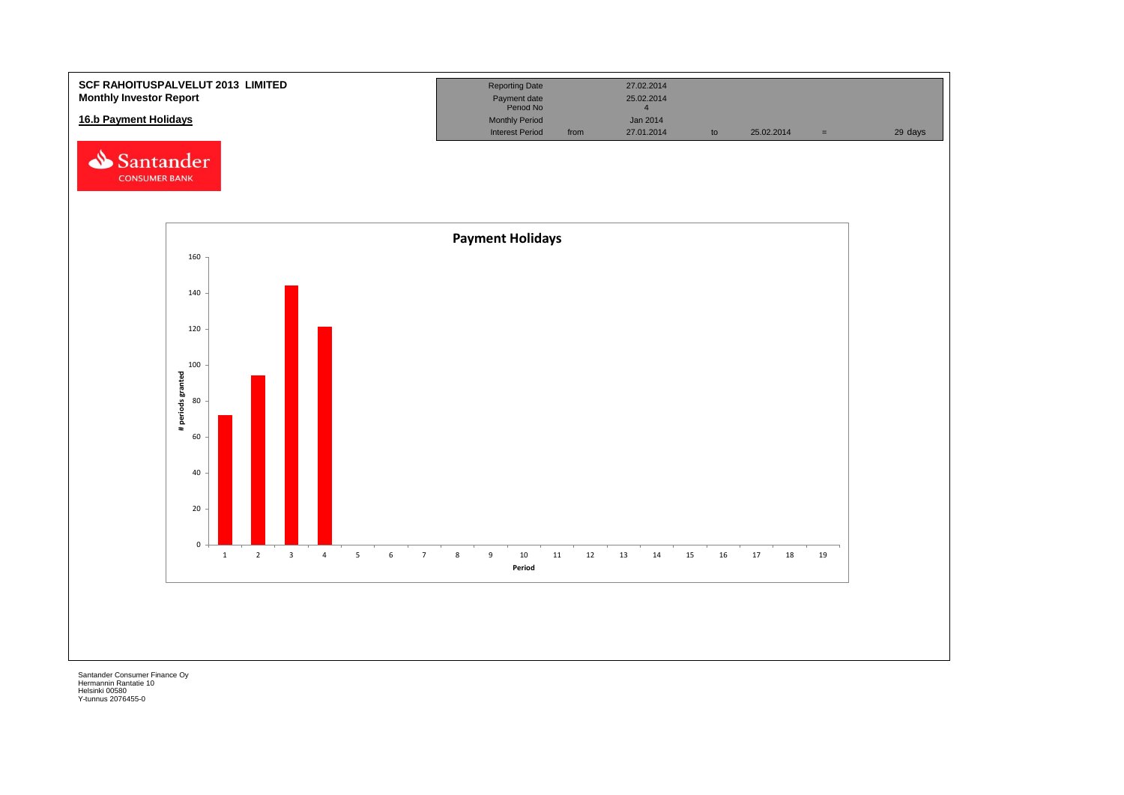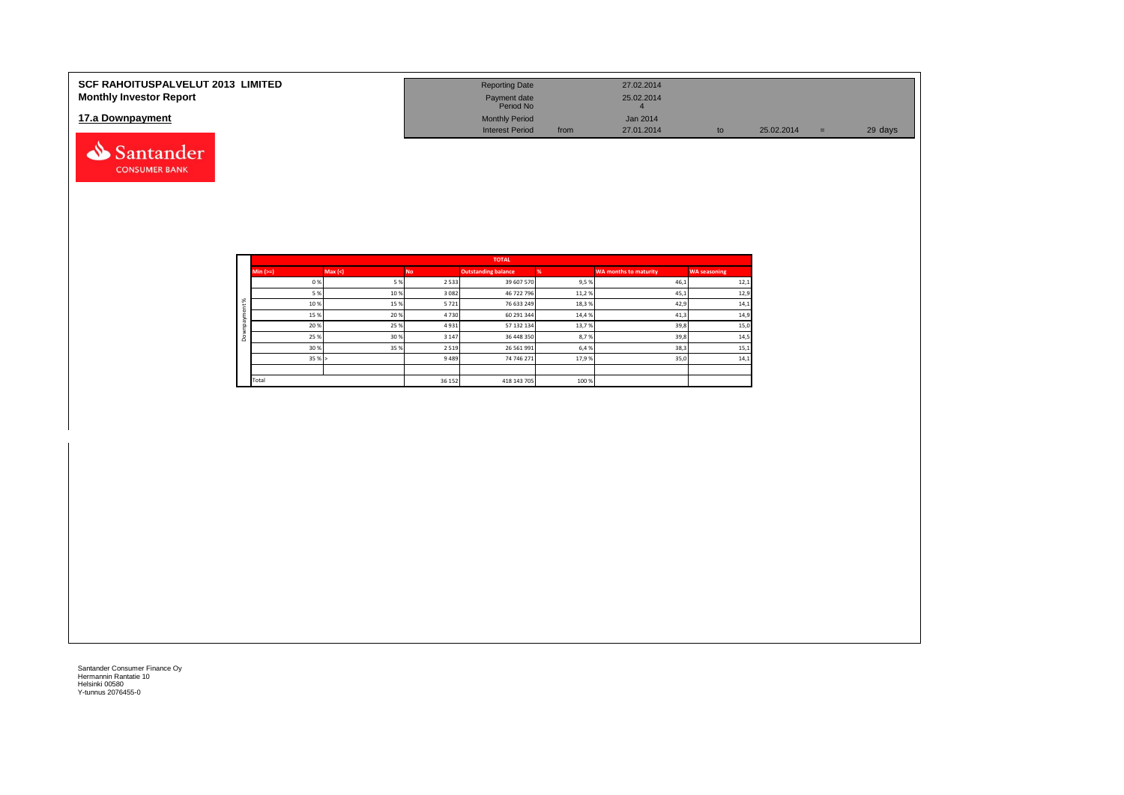| <b>SCF RAHOITUSPALVELUT 2013 LIMITED</b> | <b>Reporting Date</b>     |      | 27.02.2014      |            |         |
|------------------------------------------|---------------------------|------|-----------------|------------|---------|
| <b>Monthly Investor Report</b>           | Payment date<br>Period No |      | 25.02.2014      |            |         |
| 17.a Downpayment                         | <b>Monthly Period</b>     |      | <b>Jan 2014</b> |            |         |
|                                          | <b>Interest Period</b>    | from | 27.01.2014      | 25.02.2014 | 29 days |

|                     |            |        |           | <b>TOTAL</b>               |       |                       |                     |
|---------------------|------------|--------|-----------|----------------------------|-------|-----------------------|---------------------|
|                     | $Min (==)$ | Max(<) | <b>No</b> | <b>Outstanding balance</b> |       | WA months to maturity | <b>WA seasoning</b> |
|                     | 0%         | 5 %    | 2 5 3 3   | 39 607 570                 | 9,5%  | 46,1                  | 12,1                |
|                     | 5 %        | 10%    | 3 0 8 2   | 46 722 796                 | 11,2% | 45,1                  | 12,9                |
| $\aleph$            | 10%        | 15%    | 5721      | 76 633 249                 | 18,3% | 42,9                  | 14,1                |
| ۰                   | 15%        | 20%    | 4730      | 60 291 344                 | 14,4% | 41,3                  | 14,9                |
| $\tilde{a}$         | 20%        | 25%    | 4931      | 57 132 134                 | 13,7% | 39,8                  | 15,0                |
| $\alpha$<br>$\circ$ | 25 %       | 30%    | 3 1 4 7   | 36 448 350                 | 8,7%  | 39,8                  | 14,5                |
|                     | 30%        | 35%    | 2 5 1 9   | 26 561 991                 | 6,4 % | 38,3                  | 15,1                |
|                     | 35%        |        | 9489      | 74 746 271                 | 17,9% | 35,0                  | 14,1                |
|                     |            |        |           |                            |       |                       |                     |
|                     | Total      |        | 36 152    | 418 143 705                | 100 % |                       |                     |

Santander **CONSUMER BANK**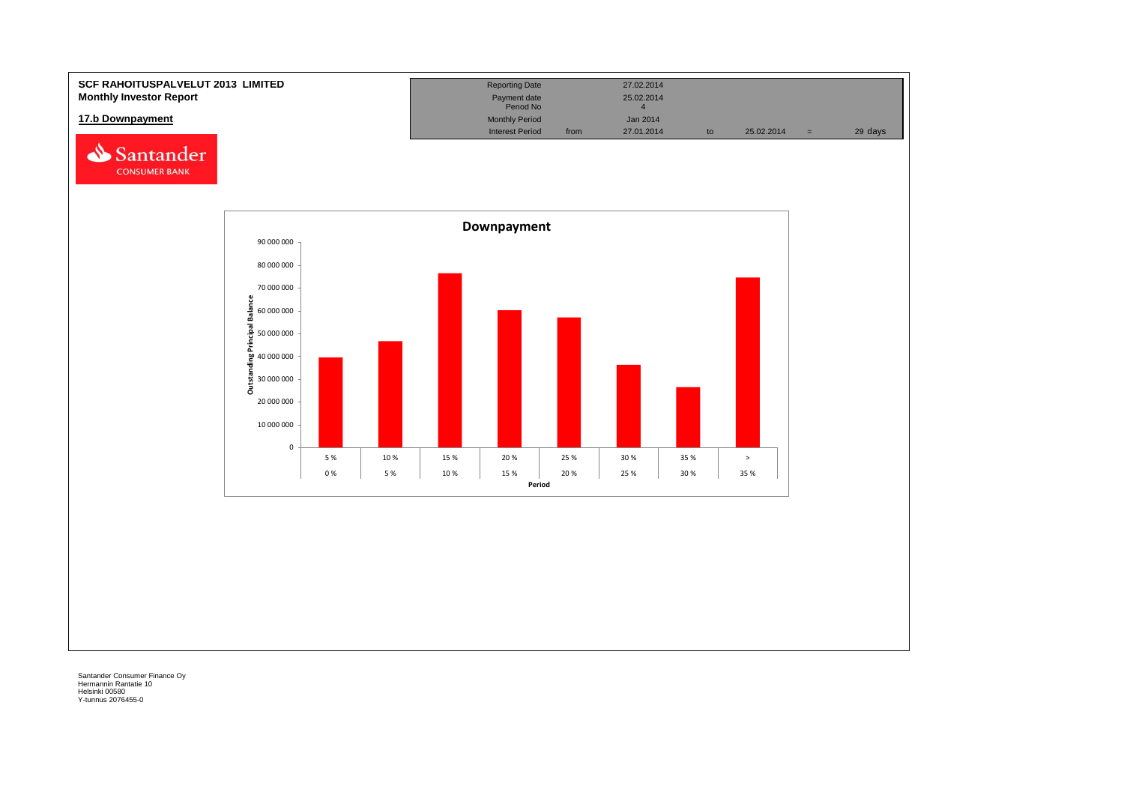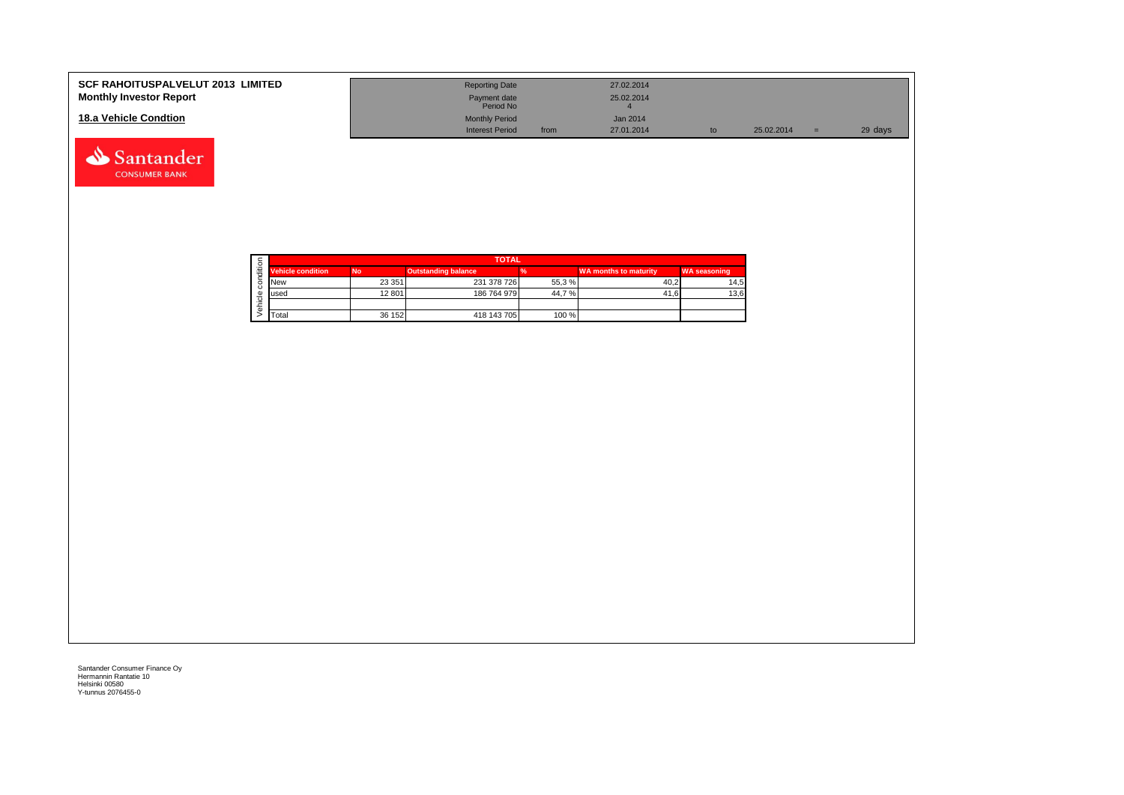| <b>SCF RAHOITUSPALVELUT 2013 LIMITED</b><br><b>Monthly Investor Report</b> | <b>Reporting Date</b><br>Payment date<br>Period No |      | 27.02.2014<br>25.02.2014 |    |            |     |         |
|----------------------------------------------------------------------------|----------------------------------------------------|------|--------------------------|----|------------|-----|---------|
| 18.a Vehicle Condtion                                                      | <b>Monthly Period</b><br><b>Interest Period</b>    | from | Jan 2014<br>27.01.2014   | to | 25.02.2014 | $=$ | 29 days |

|  |                          | <b>TOTAL</b> |                            |       |                              |                     |  |  |  |  |  |
|--|--------------------------|--------------|----------------------------|-------|------------------------------|---------------------|--|--|--|--|--|
|  | <b>Vehicle condition</b> | <b>No</b>    | <b>Outstanding balance</b> |       | <b>WA months to maturity</b> | <b>WA seasoning</b> |  |  |  |  |  |
|  | <b>INew</b>              | 23 351       | 231 378 726                | 55,3% | 40.2                         | 14,5                |  |  |  |  |  |
|  | lused                    | 12 801       | 186 764 979                | 44,7% | 41.6                         | 13,6                |  |  |  |  |  |
|  |                          |              |                            |       |                              |                     |  |  |  |  |  |
|  | <b>T</b> otal            | 36 152       | 418 143 705                | 100 % |                              |                     |  |  |  |  |  |

Santander **CONSUMER BANK**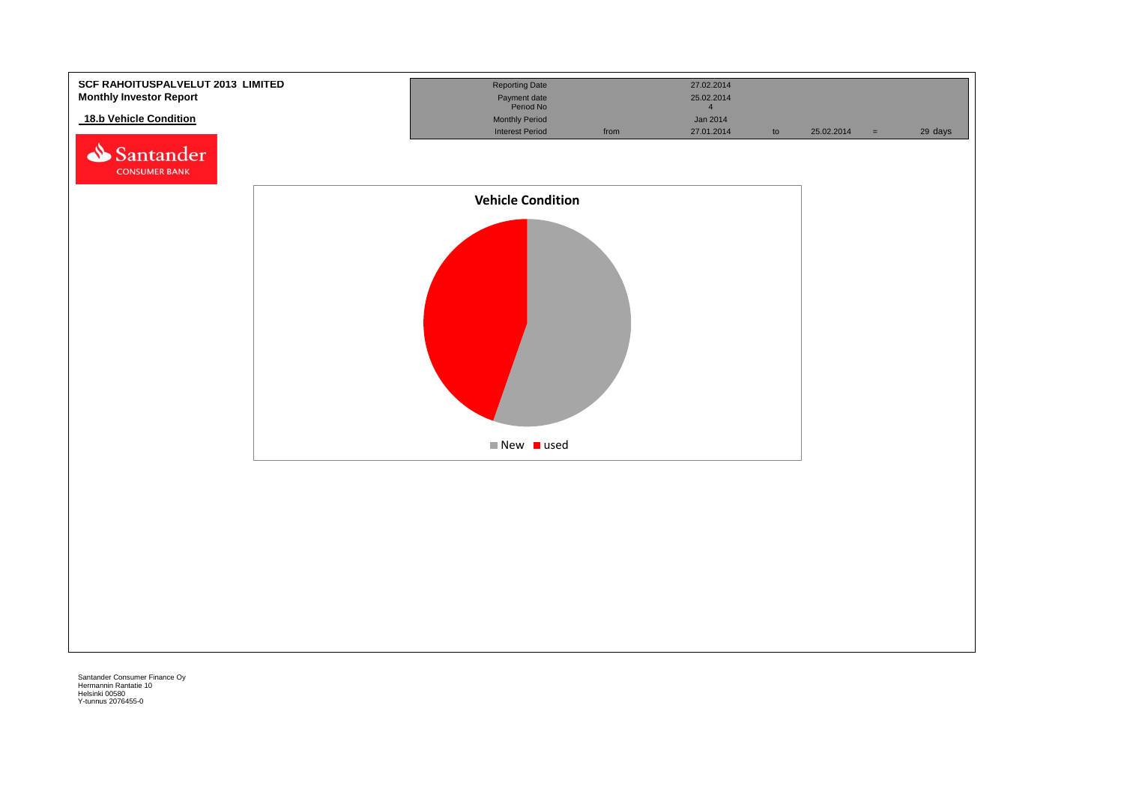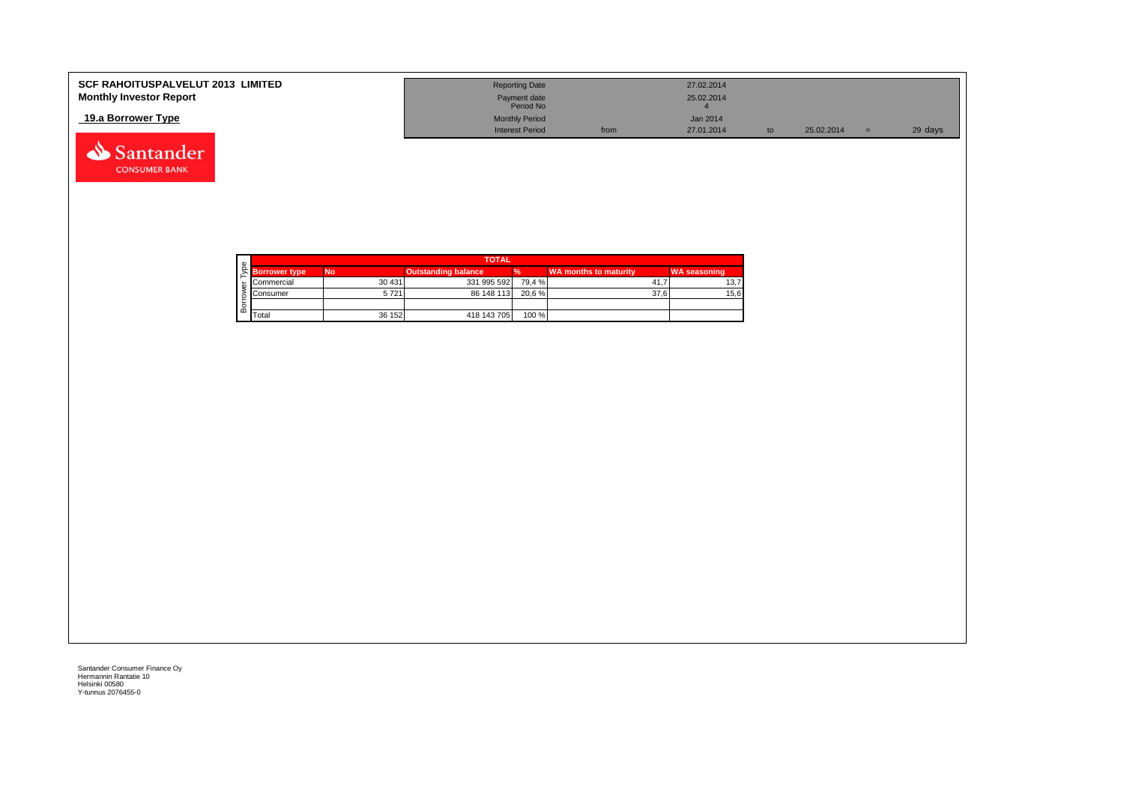| <b>SCF RAHOITUSPALVELUT 2013 LIMITED</b> | <b>Reporting Date</b>     |      | 27.02.2014 |            |         |
|------------------------------------------|---------------------------|------|------------|------------|---------|
| <b>Monthly Investor Report</b>           | Payment date<br>Period No |      | 25.02.2014 |            |         |
| 19.a Borrower Type                       | <b>Monthly Period</b>     |      | Jan 2014   |            |         |
|                                          | <b>Interest Period</b>    | from | 27.01.2014 | 25.02.2014 | 29 days |



 $\begin{array}{|c|c|c|c|}\n\hline\n\end{array}$  Total  $\begin{array}{|c|c|c|}\n\hline\n\end{array}$  36 152  $\begin{array}{|c|c|c|}\n\hline\n\end{array}$  418 143 705  $\begin{array}{|c|c|}\n\hline\n\end{array}$  100 %

Santander Consumer Finance Oy Hermannin Rantatie 10 Helsinki 00580 Y-tunnus 2076455-0

Santander **CONSUMER BANK**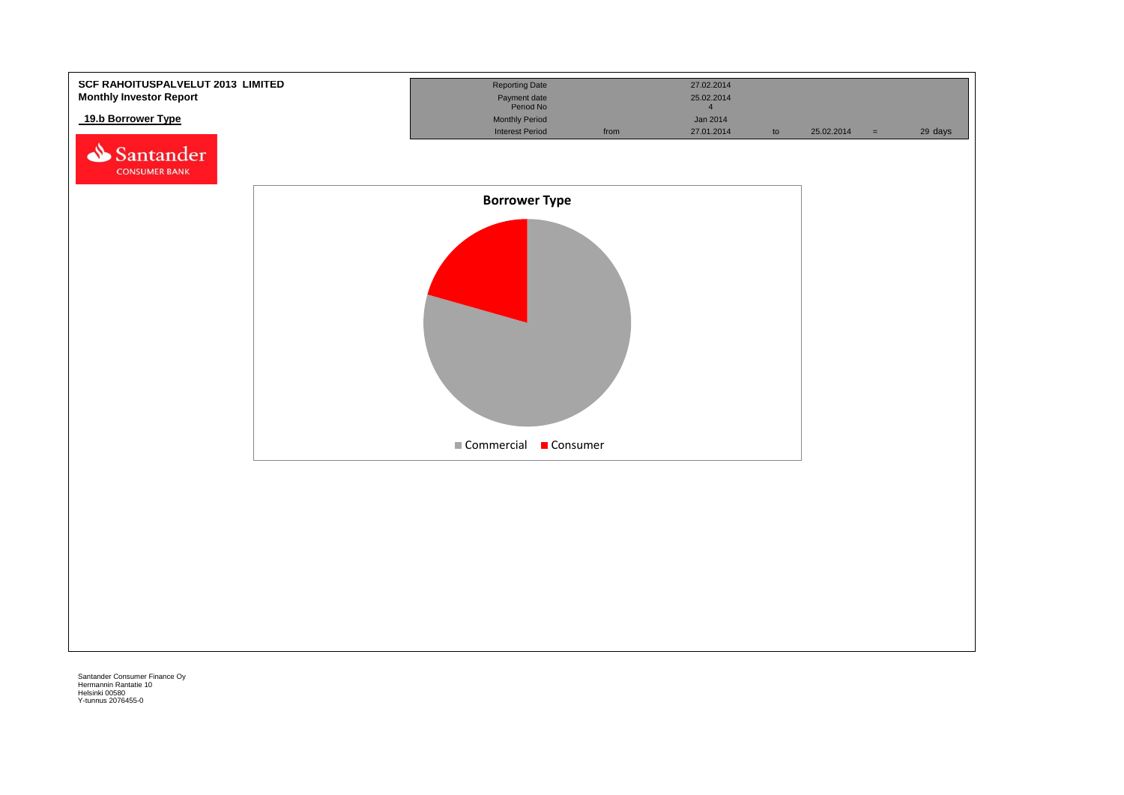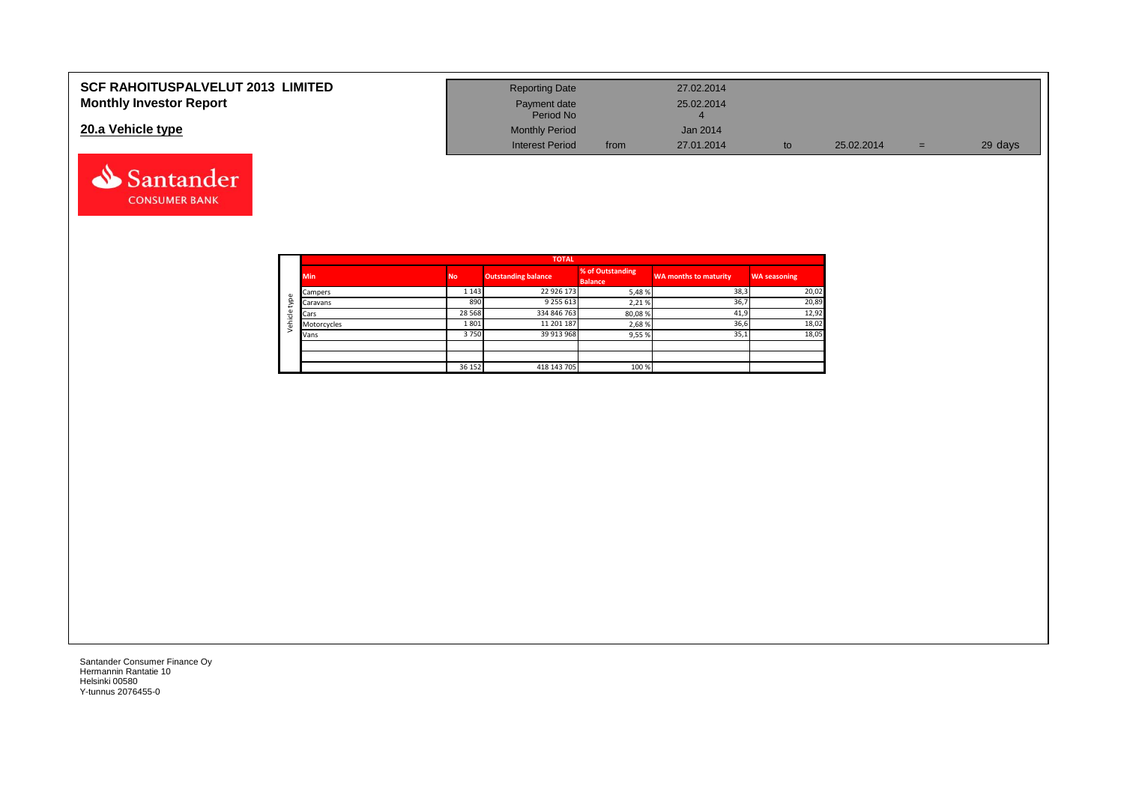| <b>SCF RAHOITUSPALVELUT 2013 LIMITED</b> | <b>Reporting Date</b>     |      | 27.02.2014 |            |     |         |
|------------------------------------------|---------------------------|------|------------|------------|-----|---------|
| <b>Monthly Investor Report</b>           | Payment date<br>Period No |      | 25.02.2014 |            |     |         |
| 20.a Vehicle type                        | <b>Monthly Period</b>     |      | Jan 2014   |            |     |         |
|                                          | <b>Interest Period</b>    | from | 27.01.2014 | 25.02.2014 | $=$ | 29 days |



Santander **CONSUMER BANK**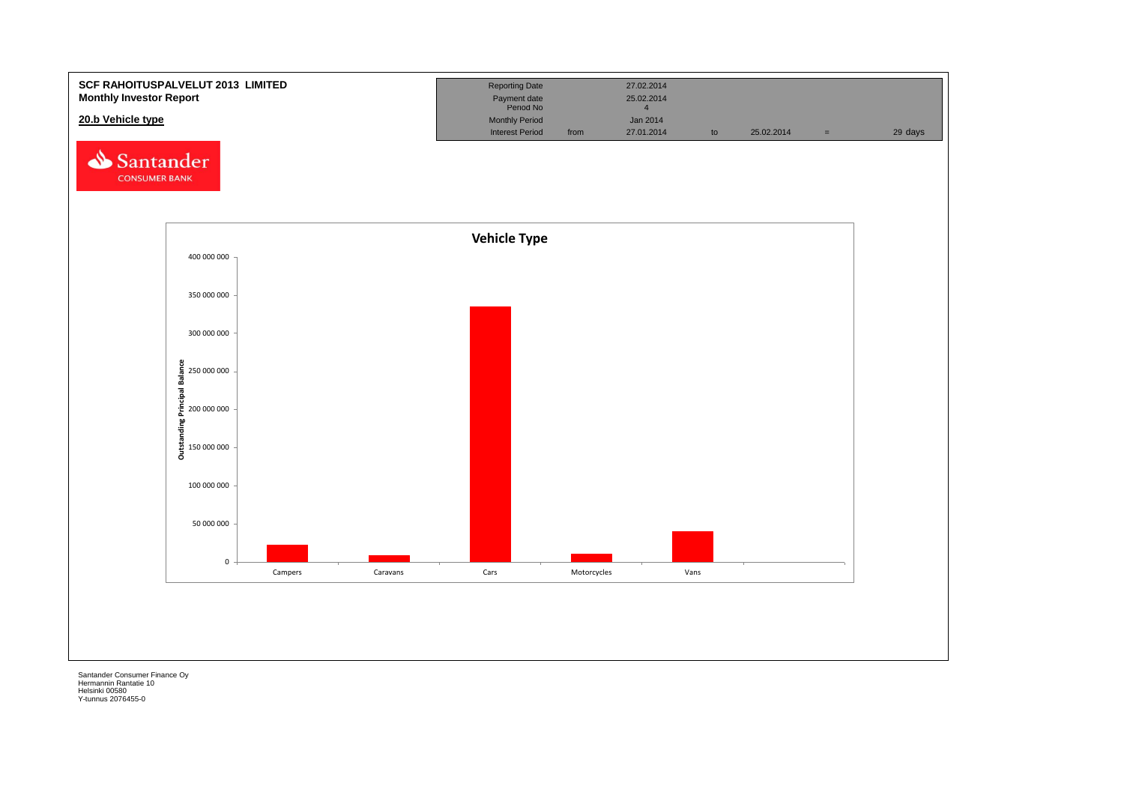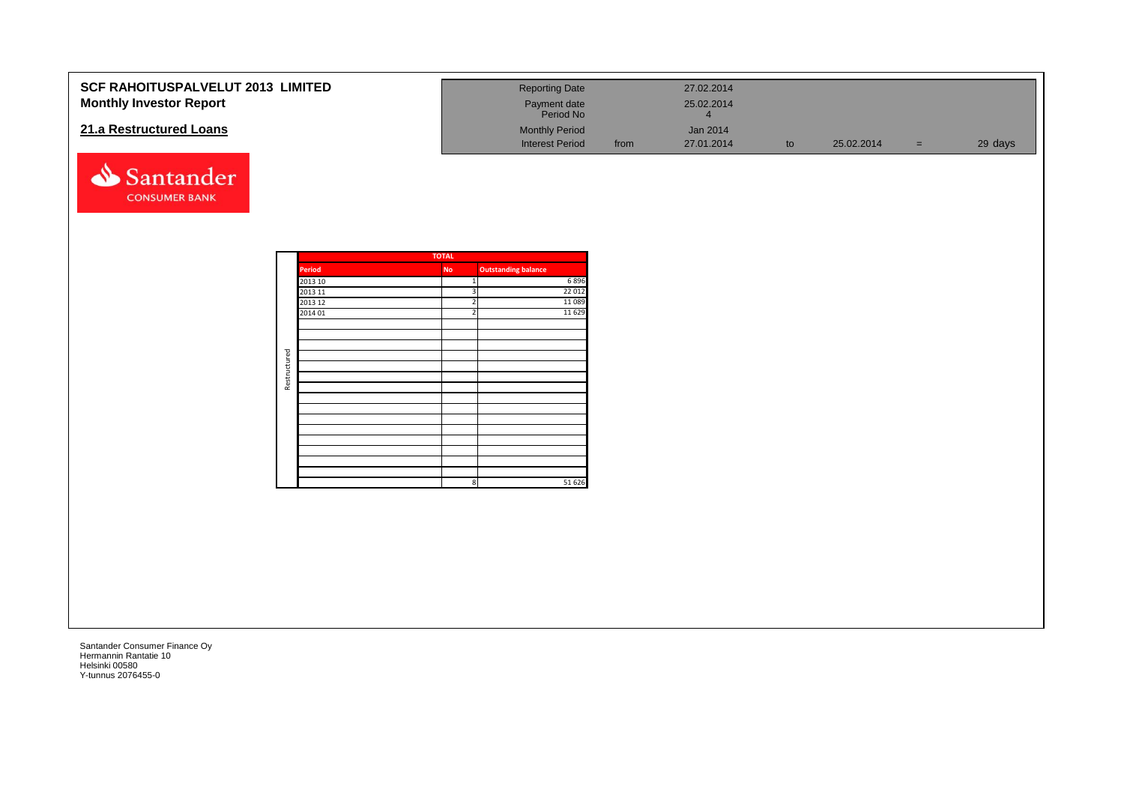| <b>SCF RAHOITUSPALVELUT 2013 LIMITED</b><br><b>Monthly Investor Report</b> |              |                                          |                                                                    | <b>Reporting Date</b><br>Payment date<br>Period No |      | 27.02.2014<br>25.02.2014<br>$\overline{4}$ |    |            |       |         |
|----------------------------------------------------------------------------|--------------|------------------------------------------|--------------------------------------------------------------------|----------------------------------------------------|------|--------------------------------------------|----|------------|-------|---------|
| 21.a Restructured Loans                                                    |              |                                          |                                                                    | <b>Monthly Period</b><br><b>Interest Period</b>    | from | Jan 2014<br>27.01.2014                     | to | 25.02.2014 | $=$ . | 29 days |
| Santander<br><b>CONSUMER BANK</b>                                          |              |                                          |                                                                    |                                                    |      |                                            |    |            |       |         |
|                                                                            |              | <b>Period</b>                            | <b>TOTAL</b><br>No                                                 | <b>Outstanding balance</b>                         |      |                                            |    |            |       |         |
|                                                                            |              | 2013 10<br>2013 11<br>2013 12<br>2014 01 | $\mathbf{1}$<br>$\overline{3}$<br>$\overline{2}$<br>$\overline{2}$ | 6896<br>22 012<br>11089<br>11 6 29                 |      |                                            |    |            |       |         |
|                                                                            | Restructured |                                          |                                                                    |                                                    |      |                                            |    |            |       |         |
|                                                                            |              |                                          |                                                                    |                                                    |      |                                            |    |            |       |         |
|                                                                            |              |                                          | $\mathbf{8}$                                                       | 51 626                                             |      |                                            |    |            |       |         |
|                                                                            |              |                                          |                                                                    |                                                    |      |                                            |    |            |       |         |
|                                                                            |              |                                          |                                                                    |                                                    |      |                                            |    |            |       |         |
|                                                                            |              |                                          |                                                                    |                                                    |      |                                            |    |            |       |         |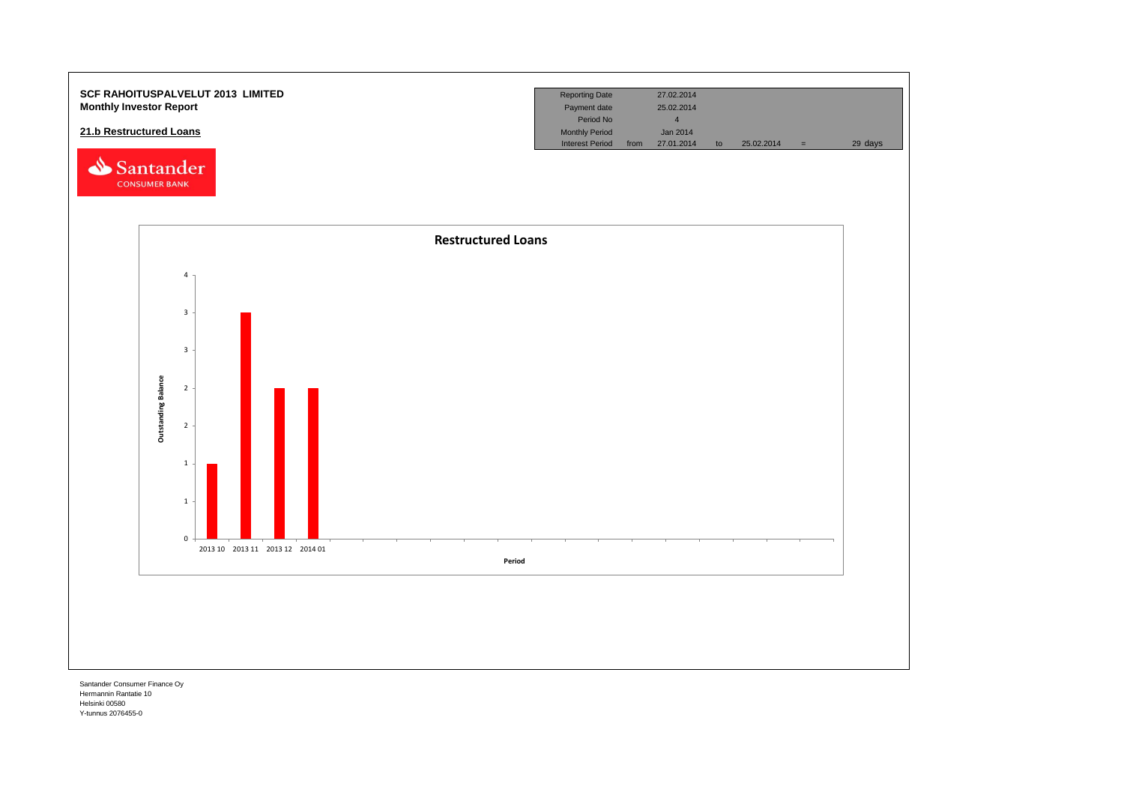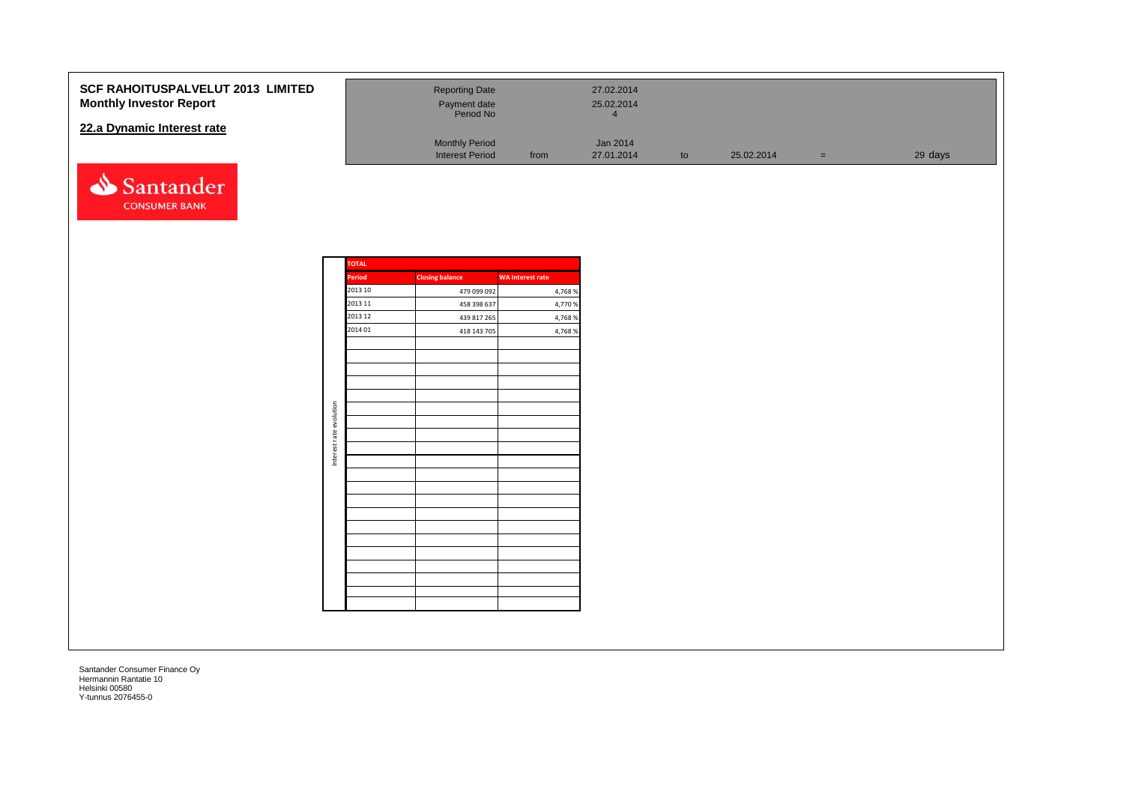#### **SCF RAHOITUSPALVELUT 2013 LI Monthly Investor Report**

#### **22.a Dynamic Interest rate**



| <b>MITED</b> | <b>Reporting Date</b><br>Payment date<br>Period No |      | 27.02.2014<br>25.02.2014 |    |            |     |         |
|--------------|----------------------------------------------------|------|--------------------------|----|------------|-----|---------|
|              | <b>Monthly Period</b><br><b>Interest Period</b>    | from | Jan 2014<br>27.01.2014   | to | 25.02.2014 | $=$ | 29 days |

| <b>TOTAL</b>  |                        |                         |
|---------------|------------------------|-------------------------|
| <b>Period</b> | <b>Closing balance</b> | <b>WA Interest rate</b> |
| 2013 10       | 479 099 092            | 4,768 %                 |
| 2013 11       | 458 398 637            | 4,770 %                 |
| 2013 12       | 439 817 265            | 4,768 %                 |
| 2014 01       | 418 143 705            | 4,768 %                 |
|               |                        |                         |
|               |                        |                         |
|               |                        |                         |
|               |                        |                         |
|               |                        |                         |
|               |                        |                         |
|               |                        |                         |
|               |                        |                         |
|               |                        |                         |
|               |                        |                         |
|               |                        |                         |
|               |                        |                         |
|               |                        |                         |
|               |                        |                         |
|               |                        |                         |
|               |                        |                         |
|               |                        |                         |
|               |                        |                         |
|               |                        |                         |
|               |                        |                         |
|               |                        |                         |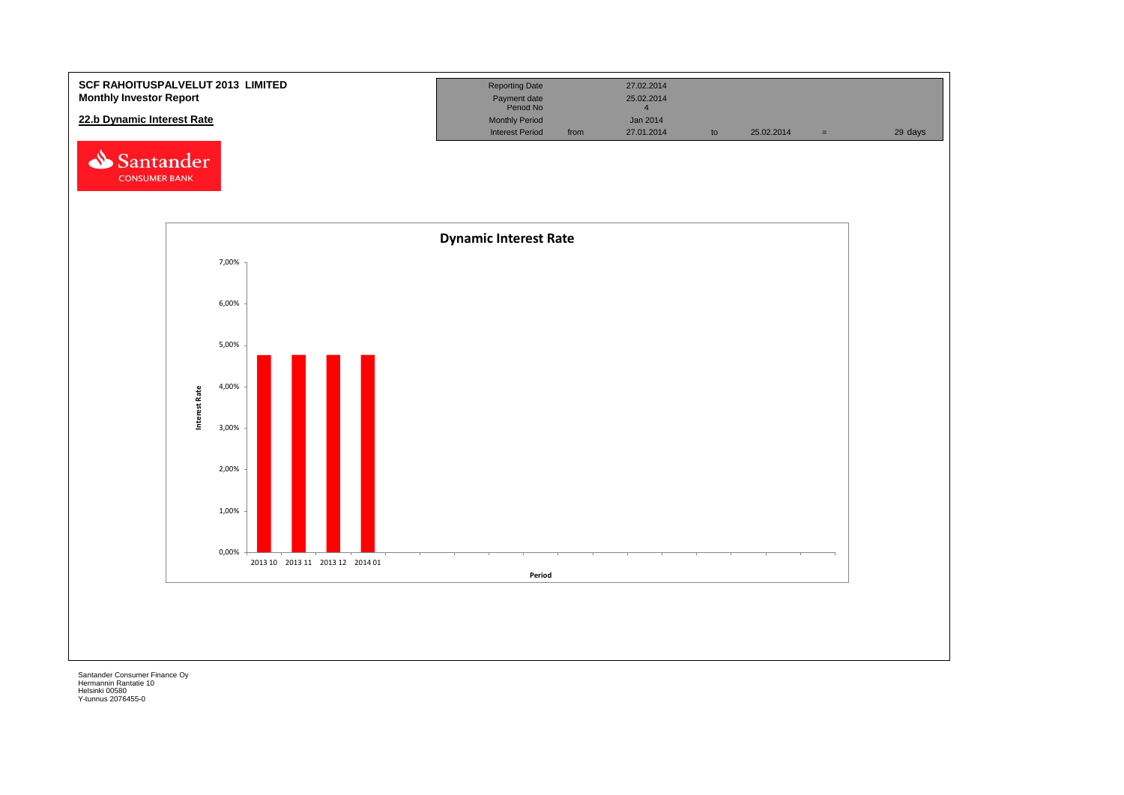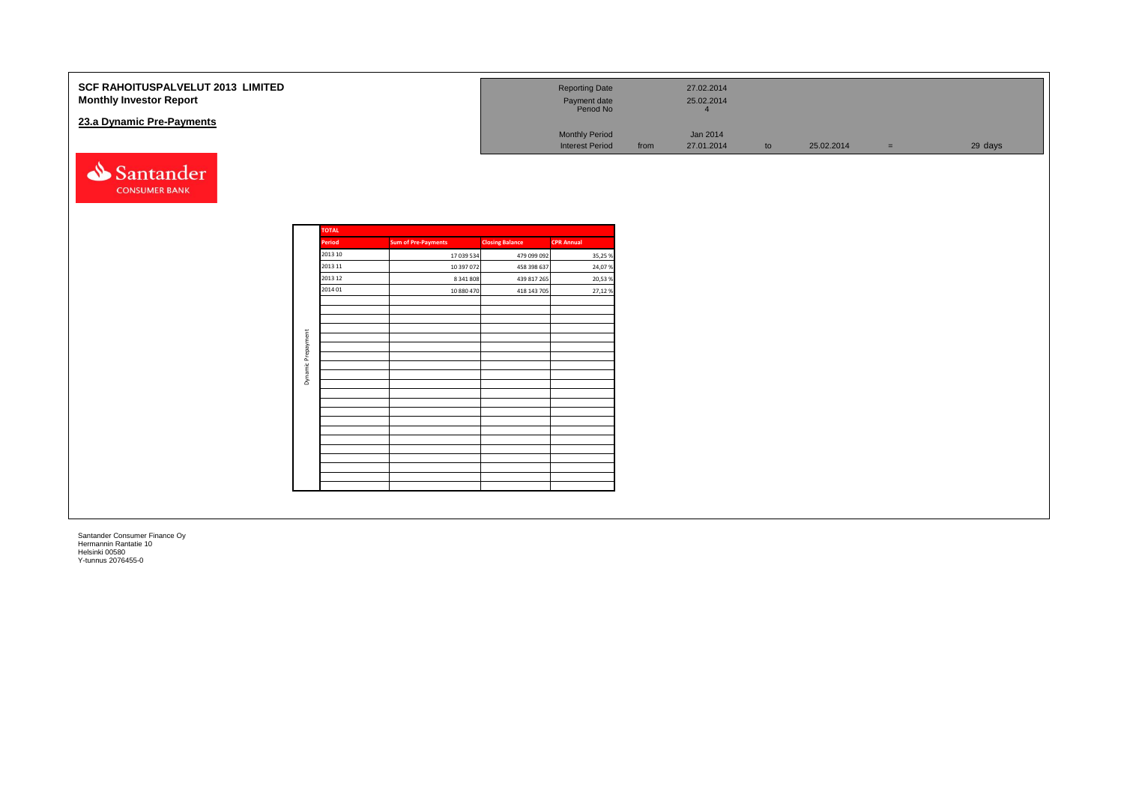| SCF RAHOITUSPALVELUT 2013 LIMITED<br><b>Monthly Investor Report</b><br>23.a Dynamic Pre-Payments |                      |              |                            |                        | <b>Reporting Date</b><br>Payment date<br>Period No |      | 27.02.2014<br>25.02.2014<br>$\overline{4}$ |    |            |          |         |
|--------------------------------------------------------------------------------------------------|----------------------|--------------|----------------------------|------------------------|----------------------------------------------------|------|--------------------------------------------|----|------------|----------|---------|
|                                                                                                  |                      |              |                            |                        | <b>Monthly Period</b><br><b>Interest Period</b>    | from | Jan 2014<br>27.01.2014                     | to | 25.02.2014 | $\equiv$ | 29 days |
| Santander<br><b>CONSUMER BANK</b>                                                                |                      |              |                            |                        |                                                    |      |                                            |    |            |          |         |
|                                                                                                  |                      | <b>TOTAL</b> |                            |                        |                                                    |      |                                            |    |            |          |         |
|                                                                                                  |                      | Period       | <b>Sum of Pre-Payments</b> | <b>Closing Balance</b> | <b>CPR Annual</b>                                  |      |                                            |    |            |          |         |
|                                                                                                  |                      | 2013 10      | 17 039 534                 | 479 099 092            | 35,25 %                                            |      |                                            |    |            |          |         |
|                                                                                                  |                      | 2013 11      | 10 397 072                 | 458 398 637            | 24,07%                                             |      |                                            |    |            |          |         |
|                                                                                                  |                      | 2013 12      | 8 341 808                  | 439 817 265            | 20,53 %                                            |      |                                            |    |            |          |         |
|                                                                                                  |                      | 2014 01      | 10 880 470                 | 418 143 705            | 27,12%                                             |      |                                            |    |            |          |         |
|                                                                                                  |                      |              |                            |                        |                                                    |      |                                            |    |            |          |         |
|                                                                                                  |                      |              |                            |                        |                                                    |      |                                            |    |            |          |         |
|                                                                                                  |                      |              |                            |                        |                                                    |      |                                            |    |            |          |         |
|                                                                                                  | Prepayment           |              |                            |                        |                                                    |      |                                            |    |            |          |         |
|                                                                                                  |                      |              |                            |                        |                                                    |      |                                            |    |            |          |         |
|                                                                                                  | $\frac{\omega}{\Xi}$ |              |                            |                        |                                                    |      |                                            |    |            |          |         |
|                                                                                                  | Dynan                |              |                            |                        |                                                    |      |                                            |    |            |          |         |
|                                                                                                  |                      |              |                            |                        |                                                    |      |                                            |    |            |          |         |
|                                                                                                  |                      |              |                            |                        |                                                    |      |                                            |    |            |          |         |
|                                                                                                  |                      |              |                            |                        |                                                    |      |                                            |    |            |          |         |
|                                                                                                  |                      |              |                            |                        |                                                    |      |                                            |    |            |          |         |
|                                                                                                  |                      |              |                            |                        |                                                    |      |                                            |    |            |          |         |
|                                                                                                  |                      |              |                            |                        |                                                    |      |                                            |    |            |          |         |
|                                                                                                  |                      |              |                            |                        |                                                    |      |                                            |    |            |          |         |
|                                                                                                  |                      |              |                            |                        |                                                    |      |                                            |    |            |          |         |
|                                                                                                  |                      |              |                            |                        |                                                    |      |                                            |    |            |          |         |
|                                                                                                  |                      |              |                            |                        |                                                    |      |                                            |    |            |          |         |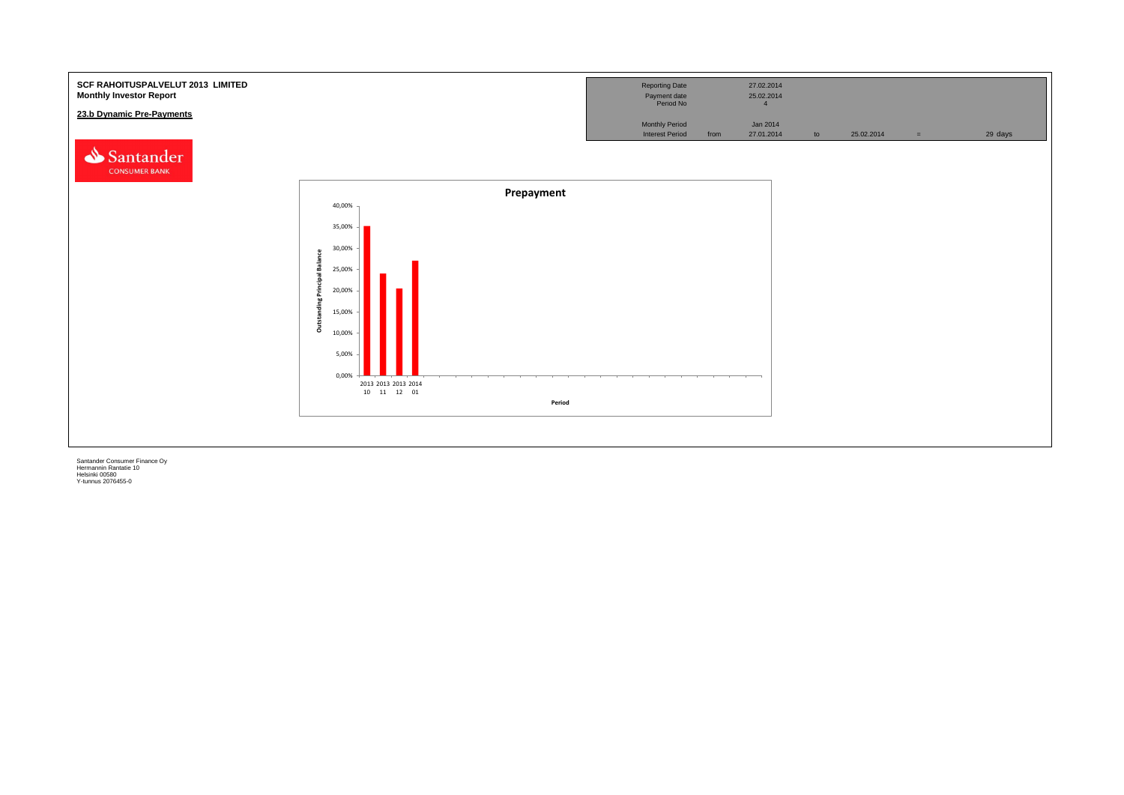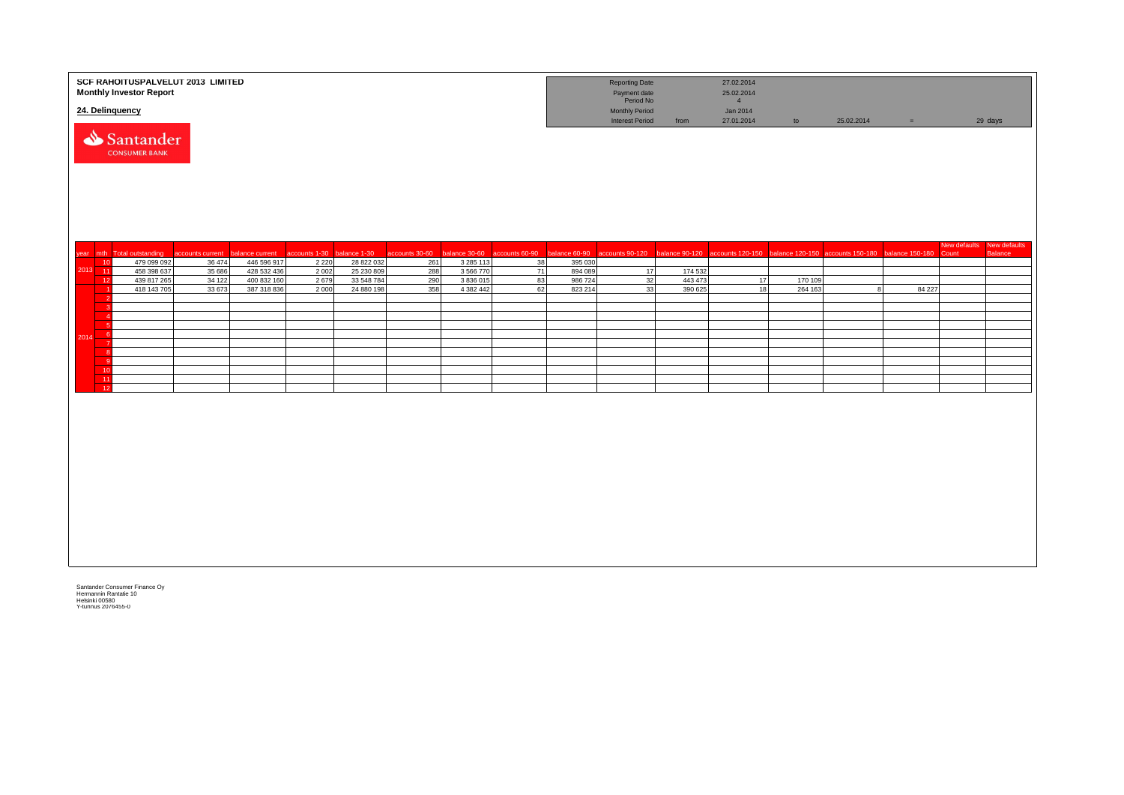|             |                | <b>Monthly Investor Report</b><br>24. Delinquency | SCF RAHOITUSPALVELUT 2013 LIMITED |                                |                                       |                          |            |                      |          |                   | <b>Reporting Date</b><br>Payment date<br>Period No<br>Monthly Period                     |                    | 27.02.2014<br>25.02.2014<br>$\overline{4}$<br>Jan 2014 |                    |                                                                   |          |              |                |
|-------------|----------------|---------------------------------------------------|-----------------------------------|--------------------------------|---------------------------------------|--------------------------|------------|----------------------|----------|-------------------|------------------------------------------------------------------------------------------|--------------------|--------------------------------------------------------|--------------------|-------------------------------------------------------------------|----------|--------------|----------------|
|             |                | Santander<br><b>CONSUMER BANK</b>                 |                                   |                                |                                       |                          |            |                      |          |                   | <b>Interest Period</b>                                                                   | from               | 27.01.2014                                             | to                 | 25.02.2014                                                        | $\equiv$ |              | 29 days        |
|             |                |                                                   |                                   |                                |                                       |                          |            |                      |          |                   |                                                                                          |                    |                                                        |                    |                                                                   |          | New defaults | New defaults   |
| vear mth    | 10             | Total outstanding<br>479 099 092                  | accounts current<br>36 474        | balance current<br>446 596 917 | accounts 1-30 balance 1-30<br>2 2 2 0 | 28 822 032               | 261        | 3 2 8 5 1 1 3        | 38       | 395 030           | accounts 30-60 balance 30-60 accounts 60-90 balance 60-90 accounts 90-120 balance 90-120 |                    |                                                        |                    | accounts 120-150 balance 120-150 accounts 150-180 balance 150-180 |          | Count        | <b>Balance</b> |
| $2013 - 11$ |                | 458 398 637                                       | 35 686                            | 428 532 436                    | 2002                                  | 25 230 809               | 288        | 3 566 770            | 71       | 894 089           | 17                                                                                       | 174 532            |                                                        |                    |                                                                   |          |              |                |
|             | 12             | 439 817 265<br>418 143 705                        | 34 122<br>33 673                  | 400 832 160<br>387 318 836     | 2679<br>2000                          | 33 548 784<br>24 880 198 | 290<br>358 | 3836015<br>4 382 442 | 83<br>62 | 986724<br>823 214 | 32<br>33                                                                                 | 443 473<br>390 625 | 17<br>18                                               | 170 109<br>264 163 |                                                                   | 84 227   |              |                |
|             |                |                                                   |                                   |                                |                                       |                          |            |                      |          |                   |                                                                                          |                    |                                                        |                    |                                                                   |          |              |                |
|             |                |                                                   |                                   |                                |                                       |                          |            |                      |          |                   |                                                                                          |                    |                                                        |                    |                                                                   |          |              |                |
|             | - 6            |                                                   |                                   |                                |                                       |                          |            |                      |          |                   |                                                                                          |                    |                                                        |                    |                                                                   |          |              |                |
| 2014        | $-6$           |                                                   |                                   |                                |                                       |                          |            |                      |          |                   |                                                                                          |                    |                                                        |                    |                                                                   |          |              |                |
|             | - 7            |                                                   |                                   |                                |                                       |                          |            |                      |          |                   |                                                                                          |                    |                                                        |                    |                                                                   |          |              |                |
|             | - 9            |                                                   |                                   |                                |                                       |                          |            |                      |          |                   |                                                                                          |                    |                                                        |                    |                                                                   |          |              |                |
|             | 10<br>11       |                                                   |                                   |                                |                                       |                          |            |                      |          |                   |                                                                                          |                    |                                                        |                    |                                                                   |          |              |                |
|             | $\frac{1}{12}$ |                                                   |                                   |                                |                                       |                          |            |                      |          |                   |                                                                                          |                    |                                                        |                    |                                                                   |          |              |                |
|             |                |                                                   |                                   |                                |                                       |                          |            |                      |          |                   |                                                                                          |                    |                                                        |                    |                                                                   |          |              |                |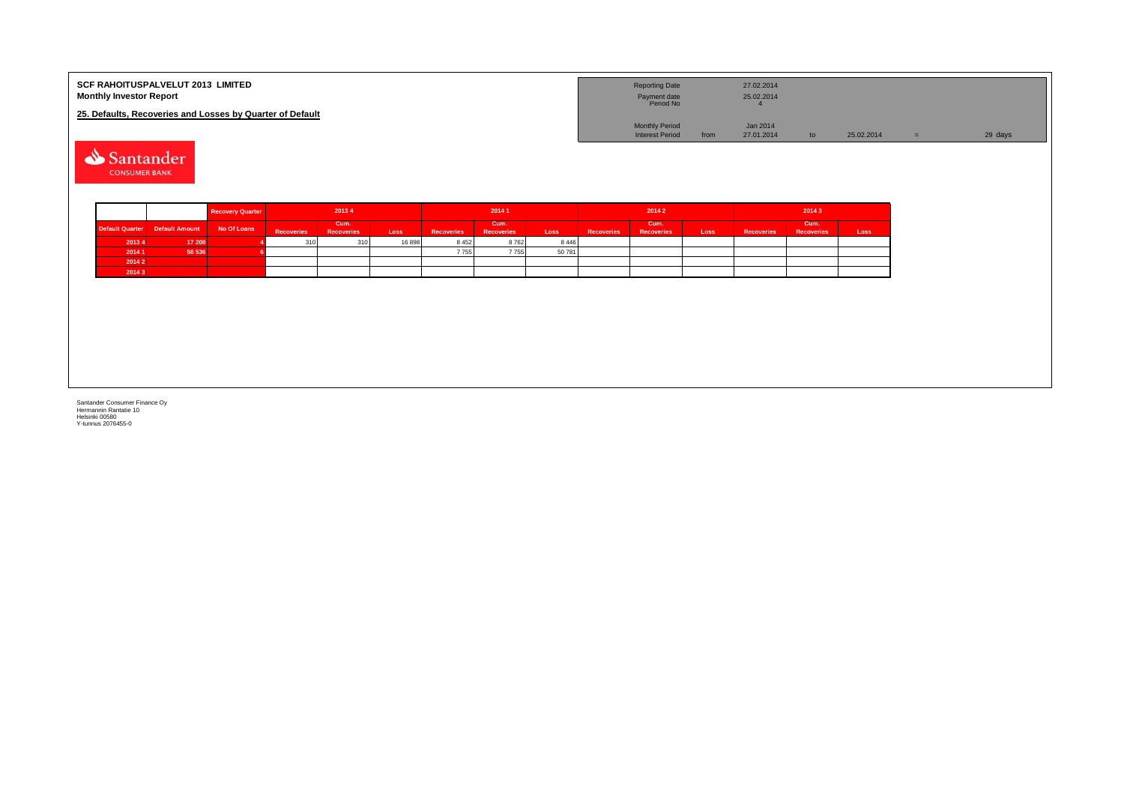| <b>SCF RAHOITUSPALVELUT 2013 LIMITED</b><br><b>Monthly Investor Report</b> | <b>Reporting Date</b><br>Payment date<br>Period No |      | 27.02.2014<br>25.02.2014 |               |            |         |
|----------------------------------------------------------------------------|----------------------------------------------------|------|--------------------------|---------------|------------|---------|
| 25. Defaults, Recoveries and Losses by Quarter of Default                  |                                                    |      |                          |               |            |         |
|                                                                            | <b>Monthly Period</b>                              |      | Jan 2014                 |               |            |         |
|                                                                            | <b>Interest Period</b>                             | from | 27.01.2014               | $\mathsf{to}$ | 25.02.2014 | 29 days |

Santander **CONSUMER BANK** 

|        |                                            | <b>Recovery Quarter</b> | 20134      |                           |       | 20141             |                           |         | 20142             |                           |      | 20143             |                           |      |  |
|--------|--------------------------------------------|-------------------------|------------|---------------------------|-------|-------------------|---------------------------|---------|-------------------|---------------------------|------|-------------------|---------------------------|------|--|
|        | Default Quarter Default Amount No Of Loans |                         | Recoveries | Cum.<br><b>Recoveries</b> | Loss  | <b>Recoveries</b> | Cum.<br><b>Recoveries</b> | Loss    | <b>Recoveries</b> | Cum.<br><b>Recoveries</b> | Loss | <b>Recoveries</b> | Cum.<br><b>Recoveries</b> | Loss |  |
| 2013 4 | 17 208                                     |                         | 310        | 310                       | 16898 | 8452              | 8762                      | 8 4 4 6 |                   |                           |      |                   |                           |      |  |
| 2014 1 | 58 536                                     |                         |            |                           |       | 7755              | 7755                      | 50 781  |                   |                           |      |                   |                           |      |  |
| 2014 2 |                                            |                         |            |                           |       |                   |                           |         |                   |                           |      |                   |                           |      |  |
| 2014 3 |                                            |                         |            |                           |       |                   |                           |         |                   |                           |      |                   |                           |      |  |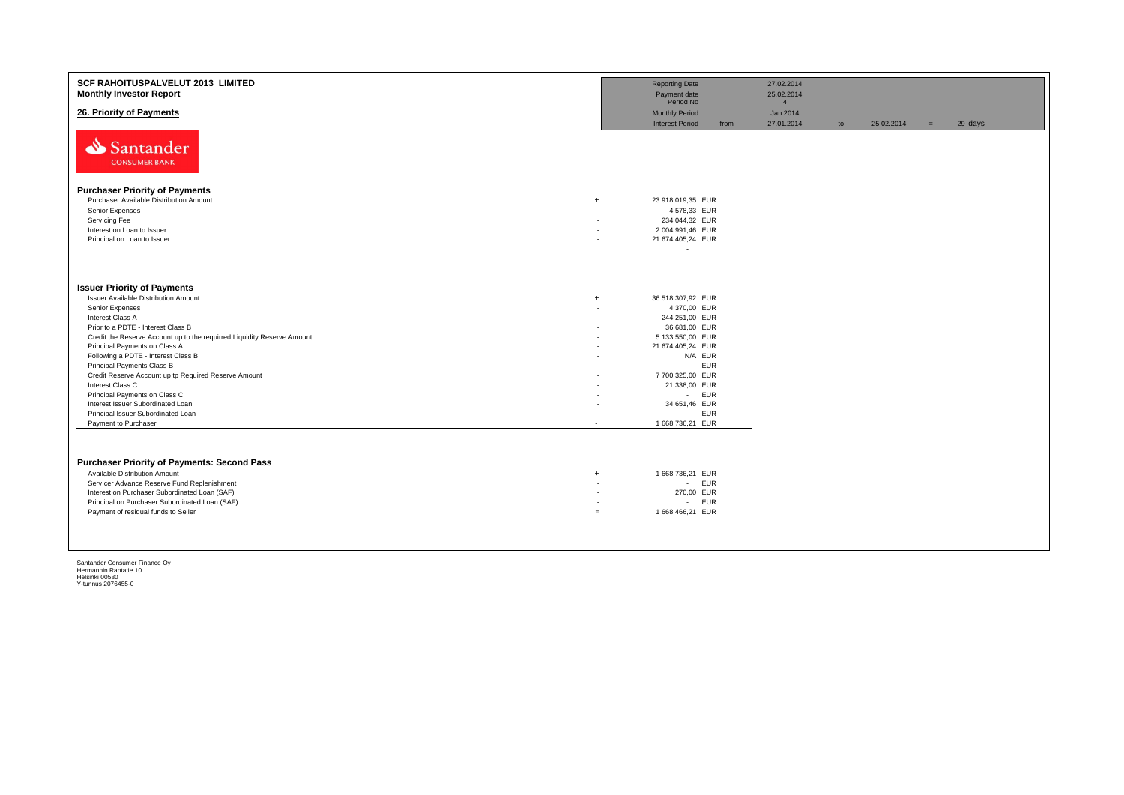| SCF RAHOITUSPALVELUT 2013 LIMITED<br><b>Monthly Investor Report</b>     |                          | <b>Reporting Date</b><br>Payment date                        |      | 27.02.2014<br>25.02.2014                 |    |            |     |         |
|-------------------------------------------------------------------------|--------------------------|--------------------------------------------------------------|------|------------------------------------------|----|------------|-----|---------|
| 26. Priority of Payments                                                |                          | Period No<br><b>Monthly Period</b><br><b>Interest Period</b> | from | $\overline{4}$<br>Jan 2014<br>27.01.2014 | to | 25.02.2014 | $=$ | 29 days |
| Santander<br><b>CONSUMER BANK</b>                                       |                          |                                                              |      |                                          |    |            |     |         |
| <b>Purchaser Priority of Payments</b>                                   |                          |                                                              |      |                                          |    |            |     |         |
| Purchaser Available Distribution Amount<br>$+$                          |                          | 23 918 019,35 EUR                                            |      |                                          |    |            |     |         |
| Senior Expenses                                                         |                          | 4 578,33 EUR                                                 |      |                                          |    |            |     |         |
| Servicing Fee                                                           |                          | 234 044,32 EUR                                               |      |                                          |    |            |     |         |
| Interest on Loan to Issuer                                              | ٠                        | 2 004 991,46 EUR                                             |      |                                          |    |            |     |         |
| Principal on Loan to Issuer                                             | $\overline{\phantom{a}}$ | 21 674 405,24 EUR                                            |      |                                          |    |            |     |         |
|                                                                         |                          | $\overline{\phantom{a}}$                                     |      |                                          |    |            |     |         |
| <b>Issuer Priority of Payments</b>                                      |                          |                                                              |      |                                          |    |            |     |         |
| <b>Issuer Available Distribution Amount</b><br>$+$                      |                          | 36 518 307,92 EUR                                            |      |                                          |    |            |     |         |
| Senior Expenses                                                         |                          | 4 370,00 EUR                                                 |      |                                          |    |            |     |         |
| Interest Class A                                                        |                          | 244 251,00 EUR                                               |      |                                          |    |            |     |         |
| Prior to a PDTE - Interest Class B                                      |                          | 36 681,00 EUR                                                |      |                                          |    |            |     |         |
| Credit the Reserve Account up to the requirred Liquidity Reserve Amount |                          | 5 133 550,00 EUR                                             |      |                                          |    |            |     |         |
| Principal Payments on Class A                                           |                          | 21 674 405,24 EUR                                            |      |                                          |    |            |     |         |
| Following a PDTE - Interest Class B                                     |                          | N/A EUR                                                      |      |                                          |    |            |     |         |
| Principal Payments Class B                                              |                          | <b>EUR</b><br>$\sim$                                         |      |                                          |    |            |     |         |
| Credit Reserve Account up tp Required Reserve Amount                    |                          | 7 700 325,00 EUR                                             |      |                                          |    |            |     |         |
| Interest Class C<br>Principal Payments on Class C                       |                          | 21 338,00 EUR<br>- EUR                                       |      |                                          |    |            |     |         |
| Interest Issuer Subordinated Loan                                       |                          | 34 651,46 EUR                                                |      |                                          |    |            |     |         |
| Principal Issuer Subordinated Loan                                      |                          | - EUR                                                        |      |                                          |    |            |     |         |
| Payment to Purchaser                                                    |                          | 1 668 736,21 EUR                                             |      |                                          |    |            |     |         |
|                                                                         |                          |                                                              |      |                                          |    |            |     |         |
| <b>Purchaser Priority of Payments: Second Pass</b>                      |                          |                                                              |      |                                          |    |            |     |         |
| Available Distribution Amount<br>$+$                                    |                          | 1 668 736,21 EUR                                             |      |                                          |    |            |     |         |
| Servicer Advance Reserve Fund Replenishment                             | ٠                        | - EUR                                                        |      |                                          |    |            |     |         |
| Interest on Purchaser Subordinated Loan (SAF)                           | $\overline{\phantom{a}}$ | 270,00 EUR                                                   |      |                                          |    |            |     |         |
| Principal on Purchaser Subordinated Loan (SAF)                          | $\overline{\phantom{a}}$ | <b>EUR</b><br>$\overline{\phantom{a}}$                       |      |                                          |    |            |     |         |
| Payment of residual funds to Seller<br>$=$                              |                          | 1 668 466,21 EUR                                             |      |                                          |    |            |     |         |
|                                                                         |                          |                                                              |      |                                          |    |            |     |         |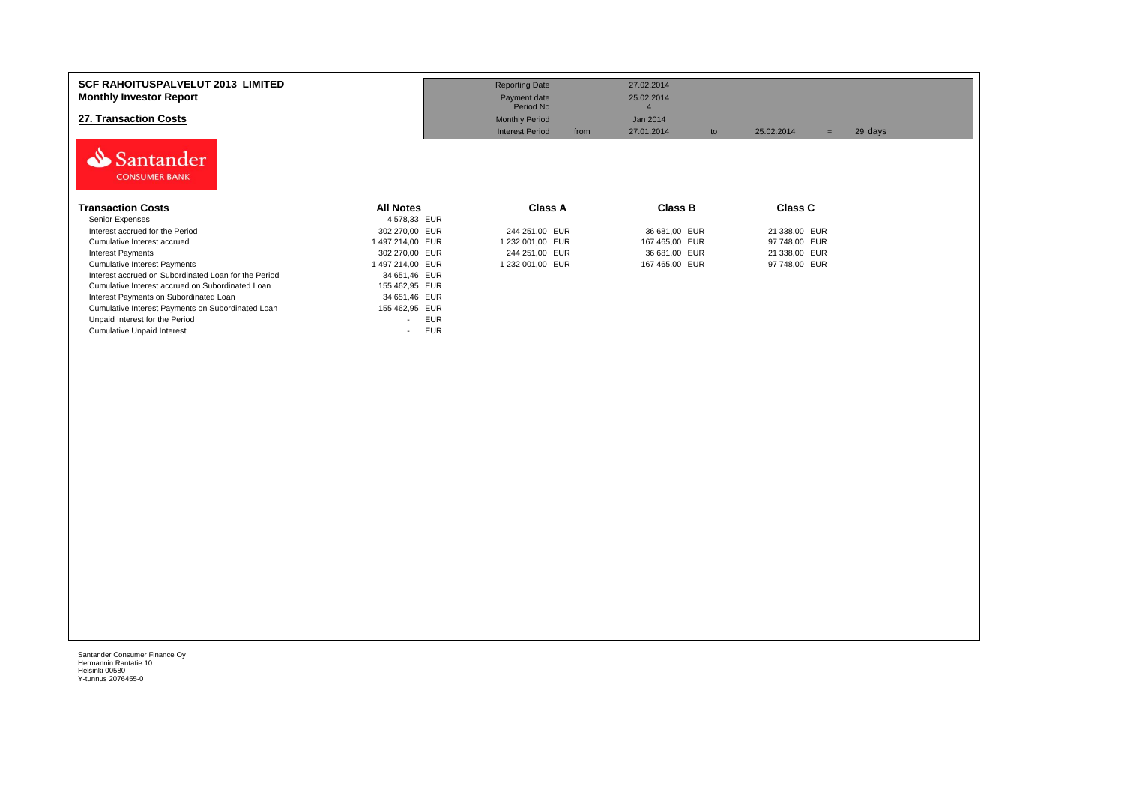| <b>SCF RAHOITUSPALVELUT 2013 LIMITED</b><br><b>Monthly Investor Report</b><br>27. Transaction Costs<br>Santander<br><b>CONSUMER BANK</b> |                                        | <b>Reporting Date</b><br>Payment date<br>Period No<br><b>Monthly Period</b><br><b>Interest Period</b><br>from | 27.02.2014<br>25.02.2014<br>Jan 2014<br>27.01.2014<br>to | 25.02.2014<br>$=$ | 29 days |
|------------------------------------------------------------------------------------------------------------------------------------------|----------------------------------------|---------------------------------------------------------------------------------------------------------------|----------------------------------------------------------|-------------------|---------|
| <b>Transaction Costs</b>                                                                                                                 | <b>All Notes</b>                       | <b>Class A</b>                                                                                                | <b>Class B</b>                                           | <b>Class C</b>    |         |
| Senior Expenses                                                                                                                          | 4 578,33 EUR                           |                                                                                                               |                                                          |                   |         |
| Interest accrued for the Period                                                                                                          | 302 270,00 EUR                         | 244 251,00 EUR                                                                                                | 36 681,00 EUR                                            | 21 338,00 EUR     |         |
| Cumulative Interest accrued                                                                                                              | 1 497 214,00 EUR                       | 1 232 001,00 EUR                                                                                              | 167 465,00 EUR                                           | 97 748,00 EUR     |         |
| <b>Interest Payments</b>                                                                                                                 | 302 270,00 EUR                         | 244 251,00 EUR                                                                                                | 36 681,00 EUR                                            | 21 338,00 EUR     |         |
| <b>Cumulative Interest Payments</b>                                                                                                      | 1 497 214,00 EUR                       | 1 232 001,00 EUR                                                                                              | 167 465,00 EUR                                           | 97 748,00 EUR     |         |
| Interest accrued on Subordinated Loan for the Period                                                                                     | 34 651,46 EUR                          |                                                                                                               |                                                          |                   |         |
| Cumulative Interest accrued on Subordinated Loan                                                                                         | 155 462,95 EUR                         |                                                                                                               |                                                          |                   |         |
| Interest Payments on Subordinated Loan                                                                                                   | 34 651,46 EUR                          |                                                                                                               |                                                          |                   |         |
| Cumulative Interest Payments on Subordinated Loan                                                                                        | 155 462,95 EUR                         |                                                                                                               |                                                          |                   |         |
| Unpaid Interest for the Period                                                                                                           | <b>EUR</b><br>$\overline{\phantom{0}}$ |                                                                                                               |                                                          |                   |         |
| <b>Cumulative Unpaid Interest</b>                                                                                                        | <b>EUR</b><br>$\overline{\phantom{0}}$ |                                                                                                               |                                                          |                   |         |